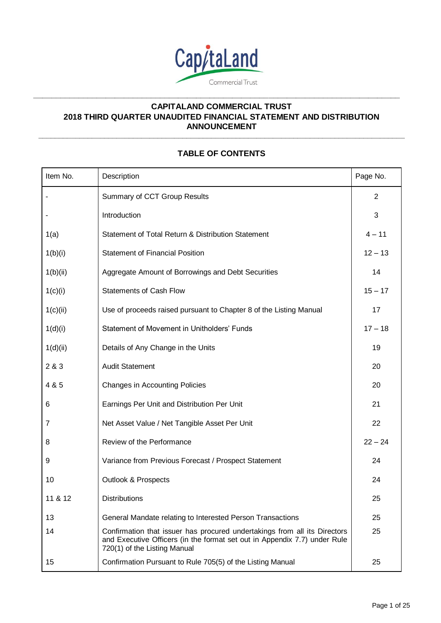

**\_\_\_\_\_\_\_\_\_\_\_\_\_\_\_\_\_\_\_\_\_\_\_\_\_\_\_\_\_\_\_\_\_\_\_\_\_\_\_\_\_\_\_\_\_\_\_\_\_\_\_\_\_\_\_\_\_\_\_\_\_\_\_\_\_\_\_\_\_\_\_\_\_\_\_\_\_\_\_\_\_**

# **CAPITALAND COMMERCIAL TRUST 2018 THIRD QUARTER UNAUDITED FINANCIAL STATEMENT AND DISTRIBUTION ANNOUNCEMENT**

# **TABLE OF CONTENTS**

**\_\_\_\_\_\_\_\_\_\_\_\_\_\_\_\_\_\_\_\_\_\_\_\_\_\_\_\_\_\_\_\_\_\_\_\_\_\_\_\_\_\_\_\_\_\_\_\_\_\_\_\_\_\_\_\_\_\_\_\_\_\_\_\_\_\_\_\_\_\_\_\_\_\_\_\_\_\_\_\_\_\_\_\_\_\_\_\_\_**

| Item No. | Description                                                                                                                                                                            | Page No.       |
|----------|----------------------------------------------------------------------------------------------------------------------------------------------------------------------------------------|----------------|
|          | Summary of CCT Group Results                                                                                                                                                           | $\overline{2}$ |
|          | Introduction                                                                                                                                                                           | 3              |
| 1(a)     | Statement of Total Return & Distribution Statement                                                                                                                                     | $4 - 11$       |
| 1(b)(i)  | <b>Statement of Financial Position</b>                                                                                                                                                 | $12 - 13$      |
| 1(b)(ii) | Aggregate Amount of Borrowings and Debt Securities                                                                                                                                     | 14             |
| 1(c)(i)  | <b>Statements of Cash Flow</b>                                                                                                                                                         | $15 - 17$      |
| 1(c)(ii) | Use of proceeds raised pursuant to Chapter 8 of the Listing Manual                                                                                                                     | 17             |
| 1(d)(i)  | Statement of Movement in Unitholders' Funds                                                                                                                                            | $17 - 18$      |
| 1(d)(ii) | Details of Any Change in the Units                                                                                                                                                     | 19             |
| 2 & 3    | <b>Audit Statement</b>                                                                                                                                                                 | 20             |
| 4 & 5    | <b>Changes in Accounting Policies</b>                                                                                                                                                  | 20             |
| 6        | Earnings Per Unit and Distribution Per Unit                                                                                                                                            | 21             |
| 7        | Net Asset Value / Net Tangible Asset Per Unit                                                                                                                                          | 22             |
| 8        | Review of the Performance                                                                                                                                                              | $22 - 24$      |
| 9        | Variance from Previous Forecast / Prospect Statement                                                                                                                                   | 24             |
| 10       | <b>Outlook &amp; Prospects</b>                                                                                                                                                         | 24             |
| 11 & 12  | <b>Distributions</b>                                                                                                                                                                   | 25             |
| 13       | General Mandate relating to Interested Person Transactions                                                                                                                             | 25             |
| 14       | Confirmation that issuer has procured undertakings from all its Directors<br>and Executive Officers (in the format set out in Appendix 7.7) under Rule<br>720(1) of the Listing Manual | 25             |
| 15       | Confirmation Pursuant to Rule 705(5) of the Listing Manual                                                                                                                             | 25             |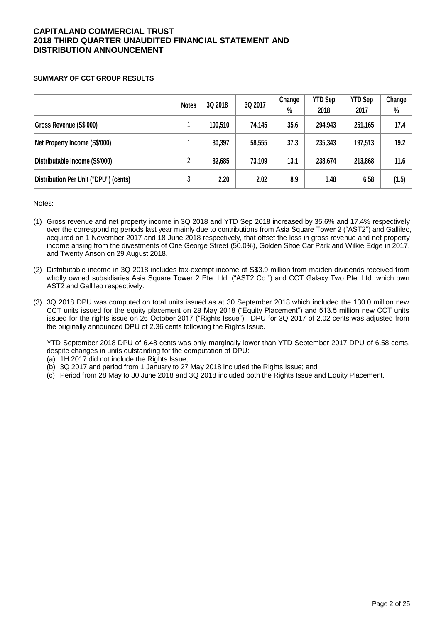### **SUMMARY OF CCT GROUP RESULTS**

|                                       | <b>Notes</b> | 3Q 2018 | 3Q 2017 | Change<br>$\%$ | <b>YTD Sep</b><br>2018 | <b>YTD Sep</b><br>2017 | Change<br>% |
|---------------------------------------|--------------|---------|---------|----------------|------------------------|------------------------|-------------|
| Gross Revenue (S\$'000)               |              | 100,510 | 74,145  | 35.6           | 294,943                | 251,165                | 17.4        |
| Net Property Income (S\$'000)         |              | 80,397  | 58,555  | 37.3           | 235,343                | 197,513                | 19.2        |
| Distributable Income (S\$'000)        | 2            | 82,685  | 73,109  | 13.1           | 238,674                | 213,868                | 11.6        |
| Distribution Per Unit ("DPU") (cents) | 3            | 2.20    | 2.02    | 8.9            | 6.48                   | 6.58                   | (1.5)       |

Notes:

- (1) Gross revenue and net property income in 3Q 2018 and YTD Sep 2018 increased by 35.6% and 17.4% respectively over the corresponding periods last year mainly due to contributions from Asia Square Tower 2 ("AST2") and Gallileo, acquired on 1 November 2017 and 18 June 2018 respectively, that offset the loss in gross revenue and net property income arising from the divestments of One George Street (50.0%), Golden Shoe Car Park and Wilkie Edge in 2017, and Twenty Anson on 29 August 2018.
- (2) Distributable income in 3Q 2018 includes tax-exempt income of S\$3.9 million from maiden dividends received from wholly owned subsidiaries Asia Square Tower 2 Pte. Ltd. ("AST2 Co.") and CCT Galaxy Two Pte. Ltd. which own AST2 and Gallileo respectively.
- (3) 3Q 2018 DPU was computed on total units issued as at 30 September 2018 which included the 130.0 million new CCT units issued for the equity placement on 28 May 2018 ("Equity Placement") and 513.5 million new CCT units issued for the rights issue on 26 October 2017 ("Rights Issue"). DPU for 3Q 2017 of 2.02 cents was adjusted from the originally announced DPU of 2.36 cents following the Rights Issue.

YTD September 2018 DPU of 6.48 cents was only marginally lower than YTD September 2017 DPU of 6.58 cents, despite changes in units outstanding for the computation of DPU:

- (a) 1H 2017 did not include the Rights Issue;
- (b) 3Q 2017 and period from 1 January to 27 May 2018 included the Rights Issue; and
- (c) Period from 28 May to 30 June 2018 and 3Q 2018 included both the Rights Issue and Equity Placement.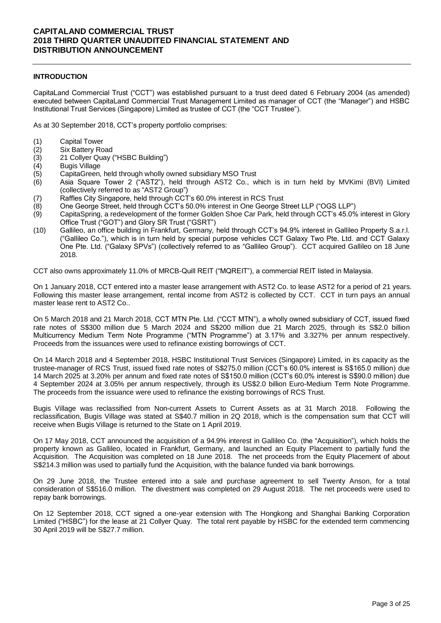### **INTRODUCTION**

CapitaLand Commercial Trust ("CCT") was established pursuant to a trust deed dated 6 February 2004 (as amended) executed between CapitaLand Commercial Trust Management Limited as manager of CCT (the "Manager") and HSBC Institutional Trust Services (Singapore) Limited as trustee of CCT (the "CCT Trustee").

As at 30 September 2018, CCT's property portfolio comprises:

- 
- (1) Capital Tower<br>(2) Six Battery Ro Six Battery Road
- (3) 21 Collyer Quay ("HSBC Building")
- (4) Bugis Village
- (5) CapitaGreen, held through wholly owned subsidiary MSO Trust
- (6) Asia Square Tower 2 ("AST2"), held through AST2 Co., which is in turn held by MVKimi (BVI) Limited (collectively referred to as "AST2 Group")
- (7) Raffles City Singapore, held through CCT's 60.0% interest in RCS Trust
- (8) One George Street, held through CCT's 50.0% interest in One George Street LLP ("OGS LLP")
- (9) CapitaSpring, a redevelopment of the former Golden Shoe Car Park, held through CCT's 45.0% interest in Glory Office Trust ("GOT") and Glory SR Trust ("GSRT")
- (10) Gallileo, an office building in Frankfurt, Germany, held through CCT's 94.9% interest in Gallileo Property S.a.r.l. ("Gallileo Co."), which is in turn held by special purpose vehicles CCT Galaxy Two Pte. Ltd. and CCT Galaxy One Pte. Ltd. ("Galaxy SPVs") (collectively referred to as "Gallileo Group"). CCT acquired Gallileo on 18 June 2018.

CCT also owns approximately 11.0% of MRCB-Quill REIT ("MQREIT"), a commercial REIT listed in Malaysia.

On 1 January 2018, CCT entered into a master lease arrangement with AST2 Co. to lease AST2 for a period of 21 years. Following this master lease arrangement, rental income from AST2 is collected by CCT. CCT in turn pays an annual master lease rent to AST2 Co..

On 5 March 2018 and 21 March 2018, CCT MTN Pte. Ltd. ("CCT MTN"), a wholly owned subsidiary of CCT, issued fixed rate notes of S\$300 million due 5 March 2024 and S\$200 million due 21 March 2025, through its S\$2.0 billion Multicurrency Medium Term Note Programme ("MTN Programme") at 3.17% and 3.327% per annum respectively. Proceeds from the issuances were used to refinance existing borrowings of CCT.

On 14 March 2018 and 4 September 2018, HSBC Institutional Trust Services (Singapore) Limited, in its capacity as the trustee-manager of RCS Trust, issued fixed rate notes of S\$275.0 million (CCT's 60.0% interest is S\$165.0 million) due 14 March 2025 at 3.20% per annum and fixed rate notes of S\$150.0 million (CCT's 60.0% interest is S\$90.0 million) due 4 September 2024 at 3.05% per annum respectively, through its US\$2.0 billion Euro-Medium Term Note Programme. The proceeds from the issuance were used to refinance the existing borrowings of RCS Trust.

Bugis Village was reclassified from Non-current Assets to Current Assets as at 31 March 2018. Following the reclassification, Bugis Village was stated at S\$40.7 million in 2Q 2018, which is the compensation sum that CCT will receive when Bugis Village is returned to the State on 1 April 2019.

On 17 May 2018, CCT announced the acquisition of a 94.9% interest in Gallileo Co. (the "Acquisition"), which holds the property known as Gallileo, located in Frankfurt, Germany, and launched an Equity Placement to partially fund the Acquisition. The Acquisition was completed on 18 June 2018. The net proceeds from the Equity Placement of about S\$214.3 million was used to partially fund the Acquisition, with the balance funded via bank borrowings.

On 29 June 2018, the Trustee entered into a sale and purchase agreement to sell Twenty Anson, for a total consideration of S\$516.0 million. The divestment was completed on 29 August 2018. The net proceeds were used to repay bank borrowings.

On 12 September 2018, CCT signed a one-year extension with The Hongkong and Shanghai Banking Corporation Limited ("HSBC") for the lease at 21 Collyer Quay. The total rent payable by HSBC for the extended term commencing 30 April 2019 will be S\$27.7 million.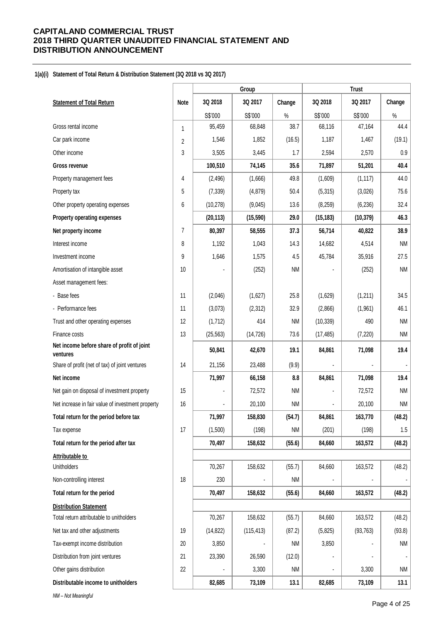#### **1(a)(i) Statement of Total Return & Distribution Statement (3Q 2018 vs 3Q 2017)**

|                                                        |      |           | Group      |           |           | <b>Trust</b> |           |
|--------------------------------------------------------|------|-----------|------------|-----------|-----------|--------------|-----------|
| <b>Statement of Total Return</b>                       | Note | 3Q 2018   | 3Q 2017    | Change    | 3Q 2018   | 3Q 2017      | Change    |
|                                                        |      | S\$'000   | S\$'000    | $\%$      | S\$'000   | S\$'000      | $\%$      |
| Gross rental income                                    | 1    | 95,459    | 68,848     | 38.7      | 68,116    | 47,164       | 44.4      |
| Car park income                                        | 2    | 1,546     | 1,852      | (16.5)    | 1,187     | 1,467        | (19.1)    |
| Other income                                           | 3    | 3,505     | 3,445      | 1.7       | 2,594     | 2,570        | 0.9       |
| <b>Gross revenue</b>                                   |      | 100,510   | 74,145     | 35.6      | 71,897    | 51,201       | 40.4      |
| Property management fees                               | 4    | (2, 496)  | (1,666)    | 49.8      | (1,609)   | (1, 117)     | 44.0      |
| Property tax                                           | 5    | (7, 339)  | (4, 879)   | 50.4      | (5, 315)  | (3,026)      | 75.6      |
| Other property operating expenses                      | 6    | (10, 278) | (9,045)    | 13.6      | (8, 259)  | (6, 236)     | 32.4      |
| Property operating expenses                            |      | (20, 113) | (15, 590)  | 29.0      | (15, 183) | (10, 379)    | 46.3      |
| Net property income                                    | 7    | 80,397    | 58,555     | 37.3      | 56,714    | 40,822       | 38.9      |
| Interest income                                        | 8    | 1,192     | 1,043      | 14.3      | 14,682    | 4,514        | <b>NM</b> |
| Investment income                                      | 9    | 1,646     | 1,575      | 4.5       | 45,784    | 35,916       | 27.5      |
| Amortisation of intangible asset                       | 10   |           | (252)      | <b>NM</b> |           | (252)        | <b>NM</b> |
| Asset management fees:                                 |      |           |            |           |           |              |           |
| - Base fees                                            | 11   | (2,046)   | (1,627)    | 25.8      | (1,629)   | (1,211)      | 34.5      |
| - Performance fees                                     | 11   | (3,073)   | (2, 312)   | 32.9      | (2,866)   | (1,961)      | 46.1      |
| Trust and other operating expenses                     | 12   | (1,712)   | 414        | <b>NM</b> | (10, 339) | 490          | <b>NM</b> |
| Finance costs                                          | 13   | (25, 563) | (14, 726)  | 73.6      | (17, 485) | (7, 220)     | <b>NM</b> |
| Net income before share of profit of joint<br>ventures |      | 50,841    | 42,670     | 19.1      | 84,861    | 71,098       | 19.4      |
| Share of profit (net of tax) of joint ventures         | 14   | 21,156    | 23,488     | (9.9)     |           |              |           |
| Net income                                             |      | 71,997    | 66,158     | 8.8       | 84,861    | 71,098       | 19.4      |
| Net gain on disposal of investment property            | 15   |           | 72,572     | <b>NM</b> |           | 72,572       | NM        |
| Net increase in fair value of investment property      | 16   |           | 20,100     | <b>NM</b> |           | 20,100       | NM        |
| Total return for the period before tax                 |      | 71,997    | 158,830    | (54.7)    | 84,861    | 163,770      | (48.2)    |
| Tax expense                                            | 17   | (1,500)   | (198)      | <b>NM</b> | (201)     | (198)        | 1.5       |
| Total return for the period after tax                  |      | 70,497    | 158,632    | (55.6)    | 84,660    | 163,572      | (48.2)    |
| Attributable to                                        |      |           |            |           |           |              |           |
| Unitholders                                            |      | 70,267    | 158,632    | (55.7)    | 84,660    | 163,572      | (48.2)    |
| Non-controlling interest                               | 18   | 230       |            | <b>NM</b> |           |              |           |
| Total return for the period                            |      | 70,497    | 158,632    | (55.6)    | 84,660    | 163,572      | (48.2)    |
| <b>Distribution Statement</b>                          |      |           |            |           |           |              |           |
| Total return attributable to unitholders               |      | 70,267    | 158,632    | (55.7)    | 84,660    | 163,572      | (48.2)    |
| Net tax and other adjustments                          | 19   | (14, 822) | (115, 413) | (87.2)    | (5,825)   | (93, 763)    | (93.8)    |
| Tax-exempt income distribution                         | 20   | 3,850     |            | ΝM        | 3,850     |              | <b>NM</b> |
| Distribution from joint ventures                       | 21   | 23,390    | 26,590     | (12.0)    |           |              |           |
| Other gains distribution                               | 22   |           | 3,300      | <b>NM</b> |           | 3,300        | NM        |
| Distributable income to unitholders                    |      | 82,685    | 73,109     | 13.1      | 82,685    | 73,109       | 13.1      |
| NM - Not Meaningful                                    |      |           |            |           |           |              |           |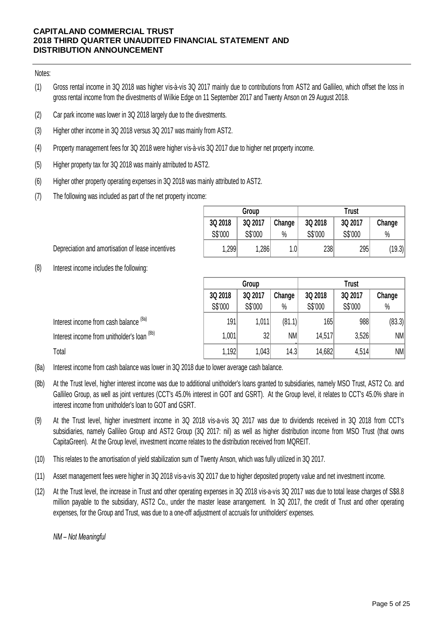### Notes:

- (1) Gross rental income in 3Q 2018 was higher vis-à-vis 3Q 2017 mainly due to contributions from AST2 and Gallileo, which offset the loss in gross rental income from the divestments of Wilkie Edge on 11 September 2017 and Twenty Anson on 29 August 2018.
- (2) Car park income was lower in 3Q 2018 largely due to the divestments.
- (3) Higher other income in 3Q 2018 versus 3Q 2017 was mainly from AST2.
- (4) Property management fees for 3Q 2018 were higher vis-à-vis 3Q 2017 due to higher net property income.
- (5) Higher property tax for 3Q 2018 was mainly atrributed to AST2.
- (6) Higher other property operating expenses in 3Q 2018 was mainly attributed to AST2.
- (7) The following was included as part of the net property income:

|         | Group   |         | <b>Trust</b> |         |        |  |  |
|---------|---------|---------|--------------|---------|--------|--|--|
| 3Q 2018 | 3Q 2017 | Change  | 3Q 2018      | 3Q 2017 | Change |  |  |
| S\$'000 | S\$'000 | $\%$    | S\$'000      | S\$'000 | $\%$   |  |  |
| 1,299   | 1,286   | $1.0\,$ | 238          | 295     | (19.3) |  |  |

Depreciation and amortisation of lease incentives

(8) Interest income includes the following:

|                                             | Group                        |         |           | <b>Trust</b> |         |           |  |
|---------------------------------------------|------------------------------|---------|-----------|--------------|---------|-----------|--|
|                                             | 3Q 2018<br>3Q 2017<br>Change |         |           | 3Q 2018      | 3Q 2017 | Change    |  |
|                                             | S\$'000                      | S\$'000 | $\%$      | S\$'000      | S\$'000 | $\%$      |  |
| Interest income from cash balance (8a)      | 191                          | 1,011   | (81.1)    | 165          | 988     | (83.3)    |  |
| Interest income from unitholder's loan (8b) | 1,001                        | 32      | <b>NM</b> | 14,517       | 3,526   | NM        |  |
| Total                                       | 1,192                        | 1.043   | 14.3      | 14,682       | 4,514   | <b>NM</b> |  |

- (8a) Interest income from cash balance was lower in 3Q 2018 due to lower average cash balance.
- (8b) Gallileo Group, as well as joint ventures (CCT's 45.0% interest in GOT and GSRT). At the Group level, it relates to CCT's 45.0% share in interest income from unitholder's loan to GOT and GSRT.<br>At the Trust level, higher in At the Trust level, higher interest income was due to additional unitholder's loans granted to subsidiaries, namely MSO Trust, AST2 Co. and Interest income from cash balance was lower in 3Q 2018 due to lower average cash balance.<br>At the Trust level, higher interest income was due to additional unitholder's loans granted to subsidiaries, namely MSO Trust, AST2 interest income from unitholder's loan to GOT and GSRT.
- (9) subsidiaries, namely Gallileo Group and AST2 Group (3Q 2017: nil) as well as higher distribution income from MSO Trust (that owns CapitaGreen). At the Group level, investment income relates to the distribution received from MQREIT.
- $(10)$ This relates to the amortisation of yield stabilization sum of Twenty Anson, which was fully utilized in 3Q 2017.
- (11) Asset management fees were higher in 3Q 2018 vis-a-vis 3Q 2017 due to higher deposited property value and net investment income.
- (12) This relates to the amortisation of yield stabilization sum of Twenty Anson, which was fully utilized in 3Q 2017.<br>Asset management fees were higher in 3Q 2018 vis-a-vis 3Q 2017 due to higher deposited property value and ne million payable to the subsidiary, AST2 Co., under the master lease arrangement. In 3Q 2017, the credit of Trust and other operating expenses, for the Group and Trust, was due to a one-off adjustment of accruals for unitholders' expenses.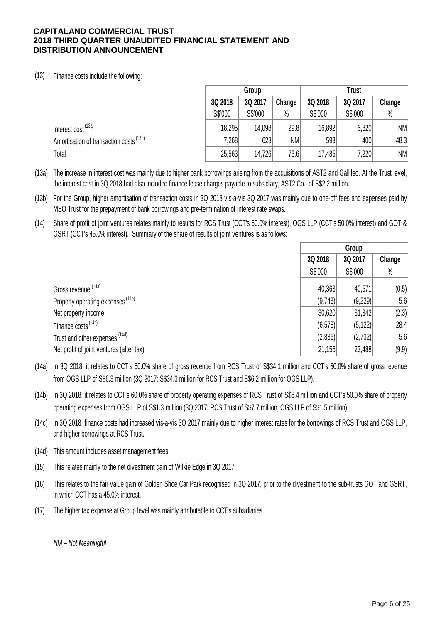# (13) Finance costs include the following:

|                                                                                                                                                                                                                                                                            |         | Group   |           |         | <b>Trust</b> |           |  |  |
|----------------------------------------------------------------------------------------------------------------------------------------------------------------------------------------------------------------------------------------------------------------------------|---------|---------|-----------|---------|--------------|-----------|--|--|
|                                                                                                                                                                                                                                                                            | 3Q 2018 | 3Q 2017 | Change    | 3Q 2018 | 3Q 2017      | Change    |  |  |
|                                                                                                                                                                                                                                                                            | S\$'000 | S\$'000 | $\%$      | S\$'000 | S\$'000      | $\%$      |  |  |
| Interest cost <sup>(13a)</sup>                                                                                                                                                                                                                                             | 18,295  | 14,098  | 29.8      | 16,892  | 6,820        | NM        |  |  |
| Amortisation of transaction costs <sup>(13b)</sup>                                                                                                                                                                                                                         | 7,268   | 628     | <b>NM</b> | 593     | 400          | 48.3      |  |  |
| Total                                                                                                                                                                                                                                                                      | 25,563  | 14,726  | 73.6      | 17,485  | 7,220        | <b>NM</b> |  |  |
| The increase in interest cost was mainly due to higher bank borrowings arising from the acquisitions of AST2 and Gallileo. At the Trust level,<br>the interest cost in 30 2018 had also included finance lease charges payable to subsidiary. AST2 Co., of S\$2.2 million. |         |         |           |         |              |           |  |  |

(13a) the interest cost in 3Q 2018 had also included finance lease charges payable to subsidiary, AST2 Co., of S\$2.2 million. The increase in interest cost was mainly due to higher bank borrowings arising from the acquisitions of AST2 and Gallileo. At the Trust level, the interest cost in 3Q 2018 had also included finance lease charges payable to

(13b) MSO Trust for the prepayment of bank borrowings and pre-termination of interest rate swaps.

(14) Share of profit of joint ventures relates mainly to results for RCS Trust (CCT's 60.0% interest), OGS LLP (CCT's 50.0% interest) and GOT & GSRT (CCT's 45.0% interest). Summary of the share of results of joint ventures is as follows:

|                                                                                                                                                                                                                                              |          | Group    |        |  |
|----------------------------------------------------------------------------------------------------------------------------------------------------------------------------------------------------------------------------------------------|----------|----------|--------|--|
|                                                                                                                                                                                                                                              | 3Q 2018  | 3Q 2017  | Change |  |
|                                                                                                                                                                                                                                              | S\$'000  | S\$'000  | $\%$   |  |
| Gross revenue (14a)                                                                                                                                                                                                                          | 40,363   | 40,571   | (0.5)  |  |
| Property operating expenses <sup>(14b)</sup>                                                                                                                                                                                                 | (9,743)  | (9,229)  | 5.6    |  |
| Net property income                                                                                                                                                                                                                          | 30,620   | 31,342   | (2.3)  |  |
| Finance costs <sup>(14c)</sup>                                                                                                                                                                                                               | (6, 578) | (5, 122) | 28.4   |  |
| Trust and other expenses (14d)                                                                                                                                                                                                               | (2,886)  | (2,732)  | 5.6    |  |
| Net profit of joint ventures (after tax)                                                                                                                                                                                                     | 21,156   | 23,488   | (9.9)  |  |
| In 3Q 2018, it relates to CCT's 60.0% share of gross revenue from RCS Trust of S\$34.1 million and CCT's 50.0% share of gross revenue<br>from OCS LLD of SCR 3 million (30 2017: SC34.3 million for DCS Truct and SCR 2 million for OCS LLD) |          |          |        |  |

(14a) In 3Q 2018, it relates to CCT's 60.0% share of gross revenue from RCS Trust of S\$34.1 million and CCT's 50.0% share of gross revenue<br>from OGS LLP of S\$6.3 million (3Q 2017: S\$34.3 million for RCS Trust and S\$6.2 million fo from OGS LLP of S\$6.3 million (3Q 2017: S\$34.3 million for RCS Trust and S\$6.2 million for OGS LLP).

(14b) In 3Q 2018, it relates to CCT's 60.0% share of property operating expenses of RCS Trust of S\$8.4 million and CCT's 50.0% share of property operating expenses from OGS LLP of S\$1.3 million (3Q 2017: RCS Trust of S\$7.7 million, OGS LLP of S\$1.5 million).

(14c) In 3Q 2018, finance costs had increased vis-a-vis 3Q 2017 mainly due to higher interest rates for the borrowings of RCS Trust and OGS LLP, and higher borrowings at RCS Trust.

(14d) This amount includes asset management fees.

(15) This relates mainly to the net divestment gain of Wilkie Edge in 3Q 2017.

(16) This relates to the fair value gain of Golden Shoe Car Park recognised in 3Q 2017, prior to the divestment to the sub-trusts GOT and GSRT, in which CCT has a 45.0% interest.

(17) The higher tax expense at Group level was mainly attributable to CCT's subsidiaries.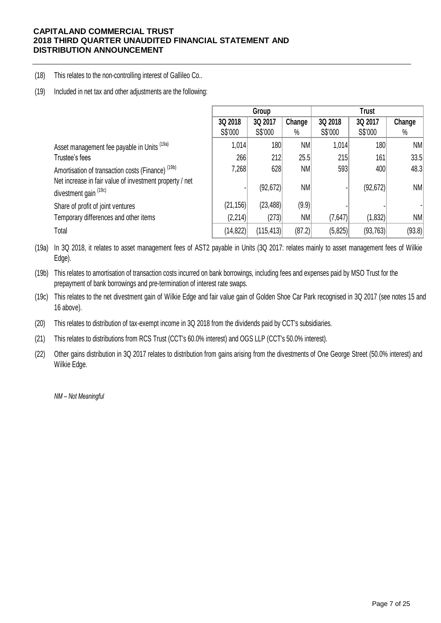(18) This relates to the non-controlling interest of Gallileo Co..

(19) Included in net tax and other adjustments are the following:

|                                                                                                                                                |                    | Group              |                        |                    | <b>Trust</b>       |            |  |  |
|------------------------------------------------------------------------------------------------------------------------------------------------|--------------------|--------------------|------------------------|--------------------|--------------------|------------|--|--|
|                                                                                                                                                | 3Q 2018<br>S\$'000 | 3Q 2017<br>S\$'000 | Change<br>$\%$         | 3Q 2018<br>S\$'000 | 3Q 2017<br>S\$'000 | Change     |  |  |
| Asset management fee payable in Units (19a)                                                                                                    | 1,014              | 180                | <b>NM</b>              | 1,014              | 180                | $\%$<br>NM |  |  |
| Trustee's fees                                                                                                                                 | 266                | 212                | 25.5                   | 215                | 161                | 33.5       |  |  |
| Amortisation of transaction costs (Finance) <sup>(19b)</sup><br>Net increase in fair value of investment property / net                        | 7,268              | 628<br>(92, 672)   | <b>NM</b><br><b>NM</b> | 593                | 400<br>(92, 672)   | 48.3<br>NM |  |  |
| divestment gain (19c)                                                                                                                          |                    |                    |                        |                    |                    |            |  |  |
| Share of profit of joint ventures                                                                                                              | (21, 156)          | (23, 488)          | (9.9)                  |                    |                    |            |  |  |
| Temporary differences and other items                                                                                                          | (2,214)            | (273)              | <b>NM</b>              | (7,647)            | (1,832)            | NM         |  |  |
| Total                                                                                                                                          | (14, 822)          | (115, 413)         | (87.2)                 | (5,825)            | (93, 763)          | (93.8)     |  |  |
| In 3Q 2018, it relates to asset management fees of AST2 payable in Units (3Q 2017: relates mainly to asset management fees of Wilkie<br>Edge). |                    |                    |                        |                    |                    |            |  |  |

(19a) Edge).

(19b) This relates to amortisation of transaction costs incurred on bank borrowings, including fees and expenses paid by MSO Trust for the Edge).<br>This relates to amortisation of transaction costs incurred on bank borrowings, including fees and expenses paid by MSO Trust for the<br>prepayment of bank borrowings and pre-termination of interest rate swaps.<br>This rel prepayment of bank borrowings and pre-termination of interest rate swaps.

(19c) 16 above).

(20) This relates to distribution of tax-exempt income in 3Q 2018 from the dividends paid by CCT's subsidiaries.

(21) This relates to distributions from RCS Trust (CCT's 60.0% interest) and OGS LLP (CCT's 50.0% interest).

(22) Other gains distribution in 3Q 2017 relates to distribution from gains arising from the divestments of One George Street (50.0% interest) and Wilkie Edge.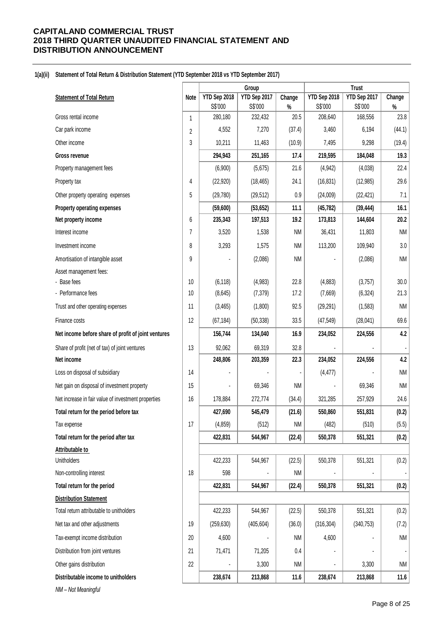#### **1(a)(ii) Statement of Total Return & Distribution Statement (YTD September 2018 vs YTD September 2017)**

|                                                     |                | Group              |                    |              | <b>Trust</b>       |                    |              |
|-----------------------------------------------------|----------------|--------------------|--------------------|--------------|--------------------|--------------------|--------------|
| <b>Statement of Total Return</b>                    | Note           | YTD Sep 2018       | YTD Sep 2017       | Change       | YTD Sep 2018       | YTD Sep 2017       | Change       |
| Gross rental income                                 | $\mathbf{1}$   | S\$'000<br>280,180 | S\$'000<br>232,432 | $\%$<br>20.5 | S\$'000<br>208,640 | S\$'000<br>168,556 | $\%$<br>23.8 |
| Car park income                                     | $\overline{2}$ | 4,552              | 7,270              | (37.4)       | 3,460              | 6,194              | (44.1)       |
| Other income                                        | 3              | 10,211             | 11,463             | (10.9)       | 7,495              | 9,298              | (19.4)       |
| <b>Gross revenue</b>                                |                | 294,943            | 251,165            | 17.4         | 219,595            | 184,048            | 19.3         |
| Property management fees                            |                | (6,900)            | (5,675)            | 21.6         | (4, 942)           | (4,038)            | 22.4         |
| Property tax                                        | 4              | (22, 920)          | (18, 465)          | 24.1         | (16, 831)          | (12, 985)          | 29.6         |
| Other property operating expenses                   | $\overline{5}$ | (29, 780)          | (29, 512)          | 0.9          | (24,009)           | (22, 421)          | 7.1          |
| Property operating expenses                         |                | (59,600)           | (53, 652)          | 11.1         | (45, 782)          | (39, 444)          | 16.1         |
| Net property income                                 | 6              | 235,343            | 197,513            | 19.2         | 173,813            | 144,604            | 20.2         |
| Interest income                                     | $\overline{7}$ | 3,520              | 1,538              | <b>NM</b>    | 36,431             | 11,803             | <b>NM</b>    |
| Investment income                                   | 8              | 3,293              | 1,575              | <b>NM</b>    | 113,200            | 109,940            | 3.0          |
| Amortisation of intangible asset                    | 9              |                    | (2,086)            | <b>NM</b>    |                    | (2,086)            | NM           |
| Asset management fees:                              |                |                    |                    |              |                    |                    |              |
| - Base fees                                         | 10             | (6, 118)           | (4,983)            | 22.8         | (4,883)            | (3,757)            | 30.0         |
| - Performance fees                                  | 10             | (8,645)            | (7, 379)           | 17.2         | (7,669)            | (6, 324)           | 21.3         |
| Trust and other operating expenses                  | 11             | (3, 465)           | (1,800)            | 92.5         | (29, 291)          | (1, 583)           | <b>NM</b>    |
| Finance costs                                       | 12             | (67, 184)          | (50, 338)          | 33.5         | (47, 549)          | (28, 041)          | 69.6         |
| Net income before share of profit of joint ventures |                | 156,744            | 134,040            | 16.9         | 234,052            | 224,556            | 4.2          |
| Share of profit (net of tax) of joint ventures      | 13             | 92,062             | 69,319             | 32.8         |                    |                    |              |
| Net income                                          |                | 248,806            | 203,359            | 22.3         | 234,052            | 224,556            | 4.2          |
| Loss on disposal of subsidiary                      | 14             |                    |                    |              | (4, 477)           |                    | <b>NM</b>    |
| Net gain on disposal of investment property         | 15             |                    | 69,346             | <b>NM</b>    |                    | 69,346             | <b>NM</b>    |
| Net increase in fair value of investment properties | 16             | 178,884            | 272,774            | (34.4)       | 321,285            | 257,929            | 24.6         |
| Total return for the period before tax              |                | 427,690            | 545,479            | (21.6)       | 550.860            | 551,831            | (0.2)        |
| Tax expense                                         | 17             | (4, 859)           | (512)              | <b>NM</b>    | (482)              | (510)              | (5.5)        |
| Total return for the period after tax               |                | 422,831            | 544,967            | (22.4)       | 550,378            | 551,321            | (0.2)        |
| Attributable to                                     |                |                    |                    |              |                    |                    |              |
| Unitholders                                         |                | 422,233            | 544,967            | (22.5)       | 550,378            | 551,321            | (0.2)        |
| Non-controlling interest                            | 18             | 598                |                    | <b>NM</b>    |                    |                    |              |
| Total return for the period                         |                | 422,831            | 544,967            | (22.4)       | 550,378            | 551,321            | (0.2)        |
| <b>Distribution Statement</b>                       |                |                    |                    |              |                    |                    |              |
| Total return attributable to unitholders            |                | 422,233            | 544,967            | (22.5)       | 550,378            | 551,321            | (0.2)        |
| Net tax and other adjustments                       | 19             | (259, 630)         | (405, 604)         | (36.0)       | (316, 304)         | (340, 753)         | (7.2)        |
| Tax-exempt income distribution                      | 20             | 4,600              |                    | <b>NM</b>    | 4,600              |                    | <b>NM</b>    |
| Distribution from joint ventures                    | 21             | 71,471             | 71,205             | 0.4          |                    |                    |              |
| Other gains distribution                            | 22             |                    | 3,300              | <b>NM</b>    |                    | 3,300              | <b>NM</b>    |
| Distributable income to unitholders                 |                | 238,674            | 213,868            | 11.6         | 238,674            | 213,868            | 11.6         |
| NM - Not Meaningful                                 |                |                    |                    |              |                    |                    |              |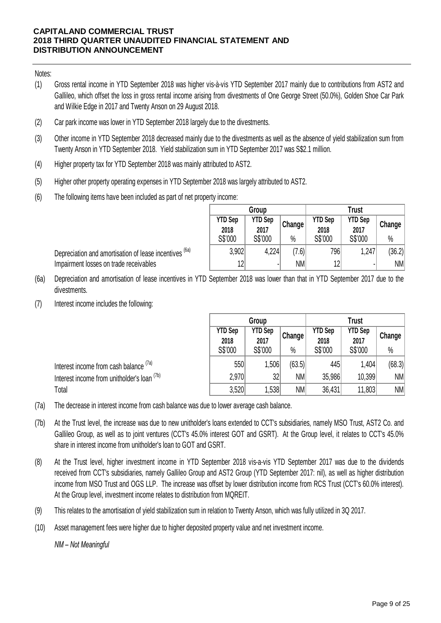Notes:

- (1) Gross rental income in YTD September 2018 was higher vis-à-vis YTD September 2017 mainly due to contributions from AST2 and<br>Gallileo which offset the loss in gross rental income arising from divestments of One George Stree Gross rental income in YTD September 2018 was higher vis-à-vis YTD September 2017 mainly due to contributions from AST2 and<br>Gallileo, which offset the loss in gross rental income arising from divestments of One George Stre and Wilkie Edge in 2017 and Twenty Anson on 29 August 2018. Gallileo, which offset the loss in gross rental income arising from divestments of One George Street (50.0%), Golden Shoe Car Park<br>and Wilkie Edge in 2017 and Twenty Anson on 29 August 2018.<br>Car park income was lower in YT
- (2) Car park income was lower in YTD September 2018 largely due to the divestments.
- (3) Twenty Anson in YTD September 2018. Yield stabilization sum in YTD September 2017 was S\$2.1 million.
- (4) Higher property tax for YTD September 2018 was mainly attributed to AST2.
- (5) Higher other property operating expenses in YTD September 2018 was largely attributed to AST2.
- (6) The following items have been included as part of net property income:

Depreciation and amortisation of lease incentives <sup>(6a)</sup>

Impairment losses on trade receivables

|                | Group          |           |                | <b>Trust</b>   |        |
|----------------|----------------|-----------|----------------|----------------|--------|
| <b>YTD Sep</b> | <b>YTD Sep</b> | (Change)  | <b>YTD Sep</b> | <b>YTD Sep</b> | Change |
| 2018           | 2017           |           | 2018           | 2017           |        |
| S\$'000        | S\$'000        | $\%$      | S\$'000        | S\$'000        | $\%$   |
| 3,902          | 4,224          | (7.6)     | 796            | 1,247          | (36.2) |
| 12             | $\blacksquare$ | <b>NM</b> | 12             | ٠              | NM     |

- (6a) Depreciation and amortisation of lease incentives in YTD September 2018 was lower than that in YTD September 2017 due to the divestments.
- (7) Interest income includes the following:

|                                             |                                   | Group                             |                | Trust                             |                                   |                |
|---------------------------------------------|-----------------------------------|-----------------------------------|----------------|-----------------------------------|-----------------------------------|----------------|
|                                             | <b>YTD Sep</b><br>2018<br>S\$'000 | <b>YTD Sep</b><br>2017<br>S\$'000 | Change<br>$\%$ | <b>YTD Sep</b><br>2018<br>S\$'000 | <b>YTD Sep</b><br>2017<br>S\$'000 | Change<br>$\%$ |
| Interest income from cash balance (7a)      | 550                               | .506                              | (63.5)         | 445                               | 1,404                             | (68.3)         |
| Interest income from unitholder's loan (7b) | 2,970                             | 32                                | <b>NM</b>      | 35,986                            | 10,399                            | ΝM             |
| Total                                       | 3,520                             | ,538                              | <b>NM</b>      | 36,431                            | 11,803                            | <b>NM</b>      |

- (7a) The decrease in interest income from cash balance was due to lower average cash balance.
- (7b) At the Trust level, the Increase was due to new unitholder shoans extended to CCT's subsidiaries, hamely MSO Trust, ASTZ Co. and<br>Gallileo Group, as well as to joint ventures (CCT's 45.0% interest GOT and GSRT). At the Grou At the Trust level, the increase was due to new unitholder's loans extended to CCT's subsidiaries, namely MSO Trust, AST2 Co. and The decrease in interest income from cash balance was due to lower average cash balance.<br>At the Trust level, the increase was due to new unitholder's loans extended to CCT's subsidiaries, namely MSO Trust, AST2 Co. and<br>Gal share in interest income from unitholder's loan to GOT and GSRT.
- (8) received from CCT's subsidiaries, namely Gallileo Group and AST2 Group (YTD September 2017: nil), as well as higher distribution income from MSO Trust and OGS LLP. The increase was offset by lower distribution income from RCS Trust (CCT's 60.0% interest). At the Group level, investment income relates to distribution from MQREIT.
- (9) This relates to the amortisation of yield stabilization sum in relation to Twenty Anson, which was fully utilized in 3Q 2017.
- (10) Asset management fees were higher due to higher deposited property value and net investment income.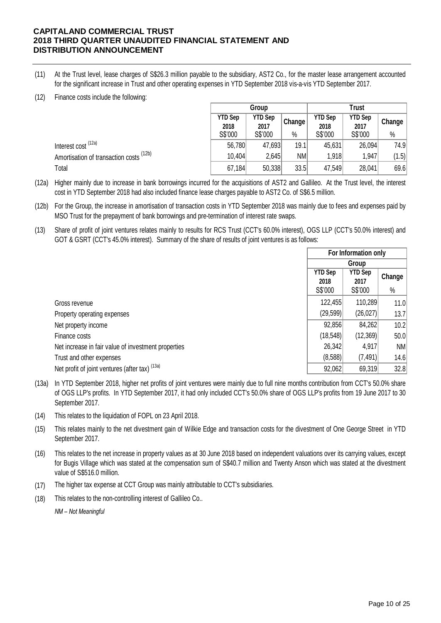- (11) At the Trust level, lease charges of S\$26.3 million payable to the subsidiary, AST2 Co., for the master lease arrangement accounted for the significant increase in Trust and other operating expenses in YTD September 2018 vis-a-vis YTD September 2017.
- (12) Finance costs include the following:

|                                         |                        | Group                  |           | <b>Trust</b>           |                 |        |  |
|-----------------------------------------|------------------------|------------------------|-----------|------------------------|-----------------|--------|--|
|                                         | <b>YTD Sep</b><br>2018 | <b>YTD Sep</b><br>2017 | Change    | <b>YTD Sep</b><br>2018 | YTD Sep<br>2017 | Change |  |
|                                         | S\$'000                | S\$'000                | $\%$      | S\$'000                | S\$'000         | $\%$   |  |
| Interest cost (12a)                     | 56,780                 | 47,693                 | 19.1      | 45,631                 | 26,094          | 74.9   |  |
| Amortisation of transaction costs (12b) | 10,404                 | 2,645                  | <b>NM</b> | 1,918                  | 1,947           | (1.5)  |  |
| Total                                   | 67,184                 | 50,338                 | 33.5      | 47,549                 | 28,041          | 69.6   |  |

- (12a) Higher mainly due to increase in bank borrowings incurred for the acquisitions of AST2 and Gallileo. At the Trust level, the interest cost in YTD September 2018 had also included finance lease charges payable to AST2 Co. of S\$6.5 million.
- (12b) For the Group, the increase in amortisation of transaction costs in YTD September 2018 was mainly due to fees and expenses paid by MSO Trust for the prepayment of bank borrowings and pre-termination of interest rate swaps.
- $(13)$ Share of profit of joint ventures relates mainly to results for RCS Trust (CCT's 60.0% interest), OGS LLP (CCT's 50.0% interest) and GOT & GSRT (CCT's 45.0% interest). Summary of the share of results of joint ventures is as follows:

|                                                     | For Information only   |                        |        |
|-----------------------------------------------------|------------------------|------------------------|--------|
|                                                     | Group                  |                        |        |
|                                                     | <b>YTD Sep</b><br>2018 | <b>YTD Sep</b><br>2017 | Change |
|                                                     | S\$'000                | S\$'000                | $\%$   |
| Gross revenue                                       | 122,455                | 110,289                | 11.0   |
| Property operating expenses                         | (29, 599)              | (26, 027)              | 13.7   |
| Net property income                                 | 92,856                 | 84,262                 | 10.2   |
| Finance costs                                       | (18, 548)              | (12,369)               | 50.0   |
| Net increase in fair value of investment properties | 26,342                 | 4,917                  | NM     |
| Trust and other expenses                            | (8,588)                | (7, 491)               | 14.6   |
| Net profit of joint ventures (after tax) (13a)      | 92,062                 | 69,319                 | 32.8   |

- (13a) In YTD September 2018, higher net profits of joint ventures were mainly due to full nine months contribution from CCT's 50.0% share of OGS LLP's profits. In YTD September 2017, it had only included CCT's 50.0% share of OGS LLP's profits from 19 June 2017 to 30 September 2017.
- (14) This relates to the liquidation of FOPL on 23 April 2018.
- (15) This relates mainly to the net divestment gain of Wilkie Edge and transaction costs for the divestment of One George Street in YTD September 2017.
- (16) This relates to the net increase in property values as at 30 June 2018 based on independent valuations over its carrying values, except for Bugis Village which was stated at the compensation sum of S\$40.7 million and Twenty Anson which was stated at the divestment value of S\$516.0 million.
- (17) The higher tax expense at CCT Group was mainly attributable to CCT's subsidiaries.
- (18) This relates to the non-controlling interest of Gallileo Co..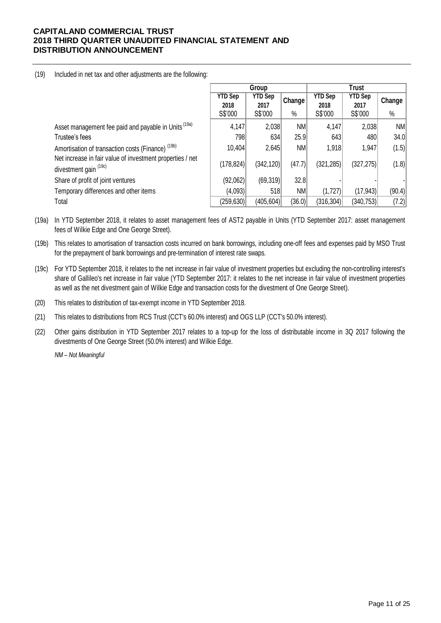### (19) Included in net tax and other adjustments are the following:

|                                                                                    |                                   | Group                             |                               |                                   | Trust                             |                |  |  |
|------------------------------------------------------------------------------------|-----------------------------------|-----------------------------------|-------------------------------|-----------------------------------|-----------------------------------|----------------|--|--|
|                                                                                    | <b>YTD Sep</b><br>2018<br>S\$'000 | <b>YTD Sep</b><br>2017<br>S\$'000 | , Change <sup>≀</sup><br>$\%$ | <b>YTD Sep</b><br>2018<br>S\$'000 | <b>YTD Sep</b><br>2017<br>S\$'000 | Change<br>$\%$ |  |  |
| Asset management fee paid and payable in Units <sup>(19a)</sup>                    | 4,147                             | 2,038                             | <b>NM</b>                     | 4,147                             | 2,038                             | NM             |  |  |
| Trustee's fees                                                                     | 798                               | 634                               | 25.9                          | 643                               | 480                               | 34.0           |  |  |
| Amortisation of transaction costs (Finance) <sup>(19b)</sup>                       | 10,404                            | 2,645                             | <b>NM</b>                     | 1,918                             | 1,947                             | (1.5)          |  |  |
| Net increase in fair value of investment properties / net<br>divestment gain (19c) | (178, 824)                        | (342, 120)                        | (47.7)                        | (321, 285)                        | (327, 275)                        | (1.8)          |  |  |
| Share of profit of joint ventures                                                  | (92,062)                          | (69, 319)                         | 32.8                          |                                   |                                   |                |  |  |
| Temporary differences and other items                                              | (4,093)                           | 518                               | <b>NM</b>                     | (1,727)                           | (17, 943)                         | (90.4)         |  |  |
| Total                                                                              | (259, 630)                        | (405, 604)                        | (36.0)                        | (316, 304)                        | (340,753)                         | (7.2)          |  |  |

(19a) In YTD September 2018, it relates to asset management fees of AST2 payable in Units (YTD September 2017: asset management fees of Wilkie Edge and One George Street).

(19b) This relates to amortisation of transaction costs incurred on bank borrowings, including one-off fees and expenses paid by MSO Trust for the prepayment of bank borrowings and pre-termination of interest rate swaps.

(19c) For YTD September 2018, it relates to the net increase in fair value of investment properties but excluding the non-controlling interest's share of Gallileo's net increase in fair value (YTD September 2017: it relates to the net increase in fair value of investment properties as well as the net divestment gain of Wilkie Edge and transaction costs for the divestment of One George Street).

(20) This relates to distribution of tax-exempt income in YTD September 2018.

(21) This relates to distributions from RCS Trust (CCT's 60.0% interest) and OGS LLP (CCT's 50.0% interest).

Other gains distribution in YTD September 2017 relates to a top-up for the loss of distributable income in 3Q 2017 following the divestments of One George Street (50.0% interest) and Wilkie Edge. (22)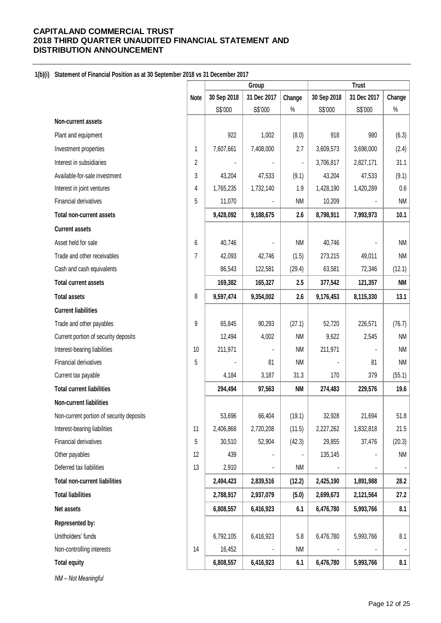## **1(b)(i) Statement of Financial Position as at 30 September 2018 vs 31 December 2017**

|                                          |             |             | Group       |                |             | <b>Trust</b> |           |
|------------------------------------------|-------------|-------------|-------------|----------------|-------------|--------------|-----------|
|                                          | <b>Note</b> | 30 Sep 2018 | 31 Dec 2017 | Change         | 30 Sep 2018 | 31 Dec 2017  | Change    |
|                                          |             | S\$'000     | S\$'000     | $\%$           | S\$'000     | S\$'000      | $\%$      |
| Non-current assets                       |             |             |             |                |             |              |           |
| Plant and equipment                      |             | 922         | 1,002       | (8.0)          | 918         | 980          | (6.3)     |
| Investment properties                    | 1           | 7,607,661   | 7,408,000   | 2.7            | 3,609,573   | 3,698,000    | (2.4)     |
| Interest in subsidiaries                 | 2           |             |             | $\blacksquare$ | 3,706,817   | 2,827,171    | 31.1      |
| Available-for-sale investment            | 3           | 43,204      | 47,533      | (9.1)          | 43,204      | 47,533       | (9.1)     |
| Interest in joint ventures               | 4           | 1,765,235   | 1,732,140   | 1.9            | 1,428,190   | 1,420,289    | 0.6       |
| Financial derivatives                    | 5           | 11,070      |             | <b>NM</b>      | 10,209      |              | <b>NM</b> |
| <b>Total non-current assets</b>          |             | 9,428,092   | 9,188,675   | 2.6            | 8,798,911   | 7,993,973    | 10.1      |
| <b>Current assets</b>                    |             |             |             |                |             |              |           |
| Asset held for sale                      | 6           | 40,746      |             | <b>NM</b>      | 40,746      |              | <b>NM</b> |
| Trade and other receivables              | 7           | 42,093      | 42,746      | (1.5)          | 273,215     | 49,011       | <b>NM</b> |
| Cash and cash equivalents                |             | 86,543      | 122,581     | (29.4)         | 63,581      | 72,346       | (12.1)    |
| <b>Total current assets</b>              |             | 169,382     | 165,327     | 2.5            | 377,542     | 121,357      | NM        |
| <b>Total assets</b>                      | 8           | 9,597,474   | 9,354,002   | 2.6            | 9,176,453   | 8,115,330    | 13.1      |
| <b>Current liabilities</b>               |             |             |             |                |             |              |           |
| Trade and other payables                 | 9           | 65,845      | 90,293      | (27.1)         | 52,720      | 226,571      | (76.7)    |
| Current portion of security deposits     |             | 12,494      | 4,002       | <b>NM</b>      | 9,622       | 2,545        | <b>NM</b> |
| Interest-bearing liabilities             | 10          | 211,971     |             | <b>NM</b>      | 211,971     |              | <b>NM</b> |
| Financial derivatives                    | 5           |             | 81          | <b>NM</b>      |             | 81           | <b>NM</b> |
| Current tax payable                      |             | 4,184       | 3,187       | 31.3           | 170         | 379          | (55.1)    |
| <b>Total current liabilities</b>         |             | 294,494     | 97,563      | <b>NM</b>      | 274,483     | 229,576      | 19.6      |
| Non-current liabilities                  |             |             |             |                |             |              |           |
| Non-current portion of security deposits |             | 53,696      | 66,404      | (19.1)         | 32,928      | 21,694       | 51.8      |
| Interest-bearing liabilities             | 11          | 2,406,868   | 2,720,208   | (11.5)         | 2,227,262   | 1,832,818    | 21.5      |
| Financial derivatives                    | 5           | 30,510      | 52,904      | (42.3)         | 29,855      | 37,476       | (20.3)    |
| Other payables                           | 12          | 439         |             |                | 135,145     |              | <b>NM</b> |
| Deferred tax liabilities                 | 13          | 2,910       |             | <b>NM</b>      |             |              | ۰         |
| <b>Total non-current liabilities</b>     |             | 2,494,423   | 2,839,516   | (12.2)         | 2,425,190   | 1,891,988    | 28.2      |
| <b>Total liabilities</b>                 |             | 2,788,917   | 2,937,079   | (5.0)          | 2,699,673   | 2,121,564    | 27.2      |
| Net assets                               |             | 6,808,557   | 6,416,923   | 6.1            | 6,476,780   | 5,993,766    | 8.1       |
| Represented by:                          |             |             |             |                |             |              |           |
| Unitholders' funds                       |             | 6,792,105   | 6,416,923   | 5.8            | 6,476,780   | 5,993,766    | 8.1       |
| Non-controlling interests                | 14          | 16,452      |             | <b>NM</b>      |             |              | ۰         |
| <b>Total equity</b>                      |             | 6,808,557   | 6,416,923   | 6.1            | 6,476,780   | 5,993,766    | 8.1       |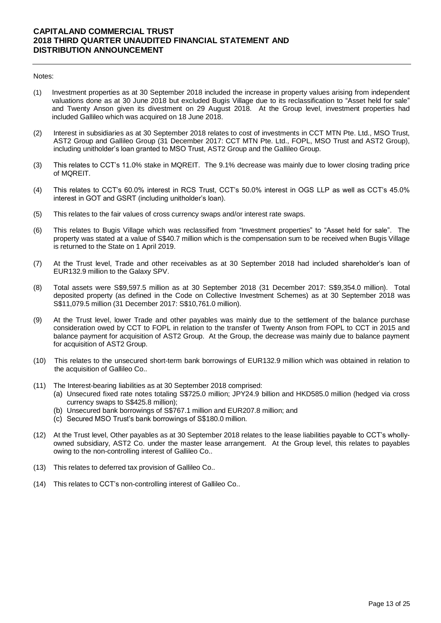#### Notes:

- (1) Investment properties as at 30 September 2018 included the increase in property values arising from independent valuations done as at 30 June 2018 but excluded Bugis Village due to its reclassification to "Asset held for sale" and Twenty Anson given its divestment on 29 August 2018. At the Group level, investment properties had included Gallileo which was acquired on 18 June 2018.
- (2) Interest in subsidiaries as at 30 September 2018 relates to cost of investments in CCT MTN Pte. Ltd., MSO Trust, AST2 Group and Gallileo Group (31 December 2017: CCT MTN Pte. Ltd., FOPL, MSO Trust and AST2 Group), including unitholder's loan granted to MSO Trust, AST2 Group and the Gallileo Group.
- (3) This relates to CCT's 11.0% stake in MQREIT. The 9.1% decrease was mainly due to lower closing trading price of MQREIT.
- (4) This relates to CCT's 60.0% interest in RCS Trust, CCT's 50.0% interest in OGS LLP as well as CCT's 45.0% interest in GOT and GSRT (including unitholder's loan).
- (5) This relates to the fair values of cross currency swaps and/or interest rate swaps.
- (6) This relates to Bugis Village which was reclassified from "Investment properties" to "Asset held for sale". The property was stated at a value of S\$40.7 million which is the compensation sum to be received when Bugis Village is returned to the State on 1 April 2019.
- (7) At the Trust level, Trade and other receivables as at 30 September 2018 had included shareholder's loan of EUR132.9 million to the Galaxy SPV.
- (8) Total assets were S\$9,597.5 million as at 30 September 2018 (31 December 2017: S\$9,354.0 million). Total deposited property (as defined in the Code on Collective Investment Schemes) as at 30 September 2018 was S\$11,079.5 million (31 December 2017: S\$10,761.0 million).
- (9) At the Trust level, lower Trade and other payables was mainly due to the settlement of the balance purchase consideration owed by CCT to FOPL in relation to the transfer of Twenty Anson from FOPL to CCT in 2015 and balance payment for acquisition of AST2 Group. At the Group, the decrease was mainly due to balance payment for acquisition of AST2 Group.
- (10) This relates to the unsecured short-term bank borrowings of EUR132.9 million which was obtained in relation to the acquisition of Gallileo Co..
- (11) The Interest-bearing liabilities as at 30 September 2018 comprised:
	- (a) Unsecured fixed rate notes totaling S\$725.0 million; JPY24.9 billion and HKD585.0 million (hedged via cross currency swaps to S\$425.8 million);
	- (b) Unsecured bank borrowings of S\$767.1 million and EUR207.8 million; and
	- (c) Secured MSO Trust's bank borrowings of S\$180.0 million.
- (12) At the Trust level, Other payables as at 30 September 2018 relates to the lease liabilities payable to CCT's whollyowned subsidiary, AST2 Co. under the master lease arrangement. At the Group level, this relates to payables owing to the non-controlling interest of Gallileo Co..
- (13) This relates to deferred tax provision of Gallileo Co..
- (14) This relates to CCT's non-controlling interest of Gallileo Co..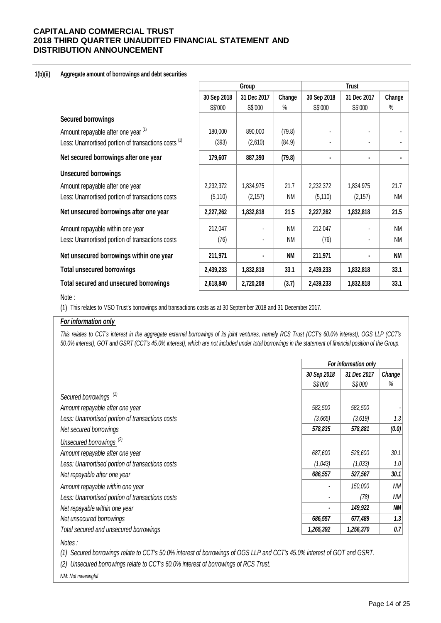### **1(b)(ii) Aggregate amount of borrowings and debt securities**

|                                                                | Group       |             |           | <b>Trust</b> |             |           |
|----------------------------------------------------------------|-------------|-------------|-----------|--------------|-------------|-----------|
|                                                                | 30 Sep 2018 | 31 Dec 2017 | Change    | 30 Sep 2018  | 31 Dec 2017 | Change    |
|                                                                | S\$'000     | S\$'000     | $\%$      | S\$'000      | S\$'000     | $\%$      |
| <b>Secured borrowings</b>                                      |             |             |           |              |             |           |
| Amount repayable after one year (1)                            | 180,000     | 890,000     | (79.8)    |              |             |           |
| Less: Unamortised portion of transactions costs <sup>(1)</sup> | (393)       | (2,610)     | (84.9)    |              |             |           |
| Net secured borrowings after one year                          | 179,607     | 887,390     | (79.8)    | ٠            | ٠           |           |
| <b>Unsecured borrowings</b>                                    |             |             |           |              |             |           |
| Amount repayable after one year                                | 2,232,372   | 1,834,975   | 21.7      | 2,232,372    | 1,834,975   | 21.7      |
| Less: Unamortised portion of transactions costs                | (5, 110)    | (2, 157)    | <b>NM</b> | (5, 110)     | (2, 157)    | <b>NM</b> |
| Net unsecured borrowings after one year                        | 2,227,262   | 1,832,818   | 21.5      | 2,227,262    | 1,832,818   | 21.5      |
| Amount repayable within one year                               | 212,047     |             | <b>NM</b> | 212,047      |             | <b>NM</b> |
| Less: Unamortised portion of transactions costs                | (76)        |             | <b>NM</b> | (76)         |             | <b>NM</b> |
| Net unsecured borrowings within one year                       | 211,971     | ۰           | <b>NM</b> | 211,971      | ٠           | <b>NM</b> |
| <b>Total unsecured borrowings</b>                              | 2,439,233   | 1,832,818   | 33.1      | 2,439,233    | 1,832,818   | 33.1      |
| <b>Total secured and unsecured borrowings</b>                  | 2,618,840   | 2,720,208   | (3.7)     | 2,439,233    | 1,832,818   | 33.1      |

### Note :

(1) This relates to MSO Trust's borrowings and transactions costs as at 30 September 2018 and 31 December 2017.

### *For information only*

This relates to CCT's interest in the aggregate external borrowings of its joint ventures, namely RCS Trust (CCT's 60.0% interest), OGS LLP (CCT's *50.0% interest), GOT and GSRT (CCT's 45.0% interest), which are not included under total borrowings in the statement of financial position of the Group.*

|                                                 |                | For information only |                  |  |
|-------------------------------------------------|----------------|----------------------|------------------|--|
|                                                 | 30 Sep 2018    | 31 Dec 2017          | Change           |  |
|                                                 | S\$'000        | S\$'000              | %                |  |
| Secured borrowings <sup>(1)</sup>               |                |                      |                  |  |
| Amount repayable after one year                 | 582,500        | 582,500              |                  |  |
| Less: Unamortised portion of transactions costs | (3,665)        | (3,619)              | 1.3              |  |
| Net secured borrowings                          | 578,835        | 578,881              | (0.0)            |  |
| Unsecured borrowings <sup>(2)</sup>             |                |                      |                  |  |
| Amount repayable after one year                 | 687,600        | 528,600              | 30.1             |  |
| Less: Unamortised portion of transactions costs | (1,043)        | (1,033)              | 1.0 <sub>1</sub> |  |
| Net repayable after one year                    | 686,557        | 527,567              | 30.1             |  |
| Amount repayable within one year                |                | 150,000              | <b>NM</b>        |  |
| Less: Unamortised portion of transactions costs |                | (78)                 | <b>NM</b>        |  |
| Net repayable within one year                   | $\blacksquare$ | 149,922              | ΝM               |  |
| Net unsecured borrowings                        | 686,557        | 677,489              | 1.3              |  |
| Total secured and unsecured borrowings          | 1,265,392      | 1,256,370            | 0.7              |  |
|                                                 |                |                      |                  |  |

*(1) Secured borrowings relate to CCT's 50.0% interest of borrowings of OGS LLP and CCT's 45.0% interest of GOT and GSRT.* 

*(2) Unsecured borrowings relate to CCT's 60.0% interest of borrowings of RCS Trust.*

*NM: Not meaningful*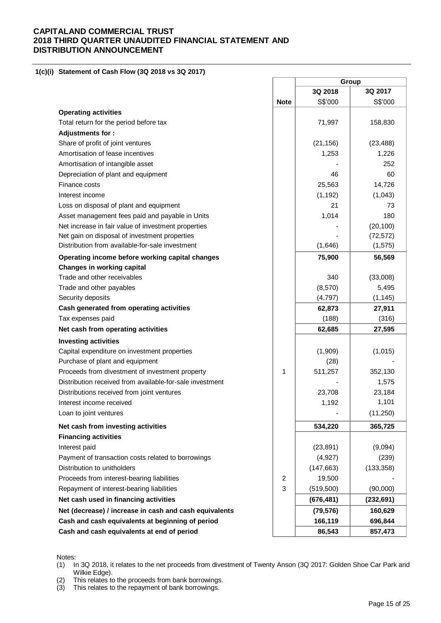**1(c)(i) Statement of Cash Flow (3Q 2018 vs 3Q 2017)** 

|                                                          |                | Group      |            |
|----------------------------------------------------------|----------------|------------|------------|
|                                                          |                | 3Q 2018    | 3Q 2017    |
|                                                          | <b>Note</b>    | S\$'000    | S\$'000    |
| <b>Operating activities</b>                              |                |            |            |
| Total return for the period before tax                   |                | 71,997     | 158,830    |
| Adjustments for:                                         |                |            |            |
| Share of profit of joint ventures                        |                | (21, 156)  | (23, 488)  |
| Amortisation of lease incentives                         |                | 1,253      | 1,226      |
| Amortisation of intangible asset                         |                |            | 252        |
| Depreciation of plant and equipment                      |                | 46         | 60         |
| Finance costs                                            |                | 25,563     | 14,726     |
| Interest income                                          |                | (1, 192)   | (1,043)    |
| Loss on disposal of plant and equipment                  |                | 21         | 73         |
| Asset management fees paid and payable in Units          |                | 1,014      | 180        |
| Net increase in fair value of investment properties      |                |            | (20, 100)  |
| Net gain on disposal of investment properties            |                |            | (72, 572)  |
| Distribution from available-for-sale investment          |                | (1,646)    | (1, 575)   |
| Operating income before working capital changes          |                | 75,900     | 56,569     |
| Changes in working capital                               |                |            |            |
| Trade and other receivables                              |                | 340        | (33,008)   |
| Trade and other payables                                 |                | (8,570)    | 5,495      |
| Security deposits                                        |                | (4,797)    | (1, 145)   |
| Cash generated from operating activities                 |                | 62,873     | 27,911     |
| Tax expenses paid                                        |                | (188)      | (316)      |
| Net cash from operating activities                       |                | 62,685     | 27,595     |
| <b>Investing activities</b>                              |                |            |            |
| Capital expenditure on investment properties             |                | (1,909)    | (1,015)    |
| Purchase of plant and equipment                          |                | (28)       |            |
| Proceeds from divestment of investment property          | $\mathbf{1}$   | 511,257    | 352,130    |
| Distribution received from available-for-sale investment |                |            | 1,575      |
| Distributions received from joint ventures               |                | 23,708     | 23,184     |
| Interest income received                                 |                | 1,192      | 1,101      |
| Loan to joint ventures                                   |                |            | (11, 250)  |
| Net cash from investing activities                       |                | 534,220    | 365,725    |
| <b>Financing activities</b>                              |                |            |            |
| Interest paid                                            |                | (23, 891)  | (9,094)    |
| Payment of transaction costs related to borrowings       |                | (4, 927)   | (239)      |
| Distribution to unitholders                              |                | (147, 663) | (133, 358) |
| Proceeds from interest-bearing liabilities               | $\overline{c}$ | 19,500     |            |
| Repayment of interest-bearing liabilities                | 3              | (519,500)  | (90,000)   |
| Net cash used in financing activities                    |                | (676, 481) | (232, 691) |
| Net (decrease) / increase in cash and cash equivalents   |                | (79, 576)  | 160,629    |
| Cash and cash equivalents at beginning of period         |                | 166,119    | 696,844    |
| Cash and cash equivalents at end of period               |                | 86,543     | 857,473    |

Notes:

(1) In 3Q 2018, it relates to the net proceeds from divestment of Twenty Anson (3Q 2017: Golden Shoe Car Park and Wilkie Edge).

(2) This relates to the proceeds from bank borrowings.

(3) This relates to the repayment of bank borrowings.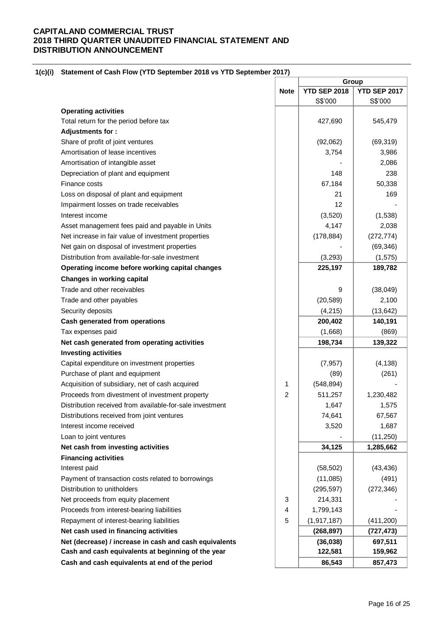### **1(c)(i) Statement of Cash Flow (YTD September 2018 vs YTD September 2017)**

|                                                          |                | Group               |                     |  |  |
|----------------------------------------------------------|----------------|---------------------|---------------------|--|--|
|                                                          | <b>Note</b>    | <b>YTD SEP 2018</b> | <b>YTD SEP 2017</b> |  |  |
|                                                          |                | S\$'000             | S\$'000             |  |  |
| <b>Operating activities</b>                              |                |                     |                     |  |  |
| Total return for the period before tax                   |                | 427,690             | 545,479             |  |  |
| Adjustments for:                                         |                |                     |                     |  |  |
| Share of profit of joint ventures                        |                | (92,062)            | (69, 319)           |  |  |
| Amortisation of lease incentives                         |                | 3,754               | 3,986               |  |  |
| Amortisation of intangible asset                         |                |                     | 2,086               |  |  |
| Depreciation of plant and equipment                      |                | 148                 | 238                 |  |  |
| Finance costs                                            |                | 67,184              | 50,338              |  |  |
| Loss on disposal of plant and equipment                  |                | 21                  | 169                 |  |  |
| Impairment losses on trade receivables                   |                | 12                  |                     |  |  |
| Interest income                                          |                | (3,520)             | (1,538)             |  |  |
| Asset management fees paid and payable in Units          |                | 4,147               | 2,038               |  |  |
| Net increase in fair value of investment properties      |                | (178, 884)          | (272, 774)          |  |  |
| Net gain on disposal of investment properties            |                |                     | (69, 346)           |  |  |
| Distribution from available-for-sale investment          |                | (3, 293)            | (1, 575)            |  |  |
| Operating income before working capital changes          |                | 225,197             | 189,782             |  |  |
| <b>Changes in working capital</b>                        |                |                     |                     |  |  |
| Trade and other receivables                              |                | 9                   | (38, 049)           |  |  |
| Trade and other payables                                 |                | (20, 589)           | 2,100               |  |  |
| Security deposits                                        |                | (4,215)             | (13, 642)           |  |  |
| Cash generated from operations                           |                | 200,402             | 140,191             |  |  |
| Tax expenses paid                                        |                | (1,668)             | (869)               |  |  |
| Net cash generated from operating activities             |                | 198,734             | 139,322             |  |  |
| <b>Investing activities</b>                              |                |                     |                     |  |  |
| Capital expenditure on investment properties             |                | (7, 957)            | (4, 138)            |  |  |
| Purchase of plant and equipment                          |                | (89)                | (261)               |  |  |
| Acquisition of subsidiary, net of cash acquired          | 1              | (548, 894)          |                     |  |  |
| Proceeds from divestment of investment property          | $\overline{2}$ | 511,257             | 1,230,482           |  |  |
| Distribution received from available-for-sale investment |                | 1,647               | 1,575               |  |  |
| Distributions received from joint ventures               |                | 74,641              | 67,567              |  |  |
| Interest income received                                 |                | 3,520               | 1,687               |  |  |
| Loan to joint ventures                                   |                |                     | (11, 250)           |  |  |
| Net cash from investing activities                       |                | 34,125              | 1,285,662           |  |  |
| <b>Financing activities</b>                              |                |                     |                     |  |  |
| Interest paid                                            |                | (58, 502)           | (43, 436)           |  |  |
| Payment of transaction costs related to borrowings       |                | (11,085)            | (491)               |  |  |
| Distribution to unitholders                              |                | (295, 597)          | (272, 346)          |  |  |
| Net proceeds from equity placement                       | 3              | 214,331             |                     |  |  |
| Proceeds from interest-bearing liabilities               | 4              | 1,799,143           |                     |  |  |
| Repayment of interest-bearing liabilities                | 5              | (1, 917, 187)       | (411, 200)          |  |  |
| Net cash used in financing activities                    |                | (268, 897)          | (727, 473)          |  |  |
| Net (decrease) / increase in cash and cash equivalents   |                | (36,038)            | 697,511             |  |  |
| Cash and cash equivalents at beginning of the year       |                | 122,581             | 159,962             |  |  |
| Cash and cash equivalents at end of the period           |                | 86,543              | 857,473             |  |  |
|                                                          |                |                     |                     |  |  |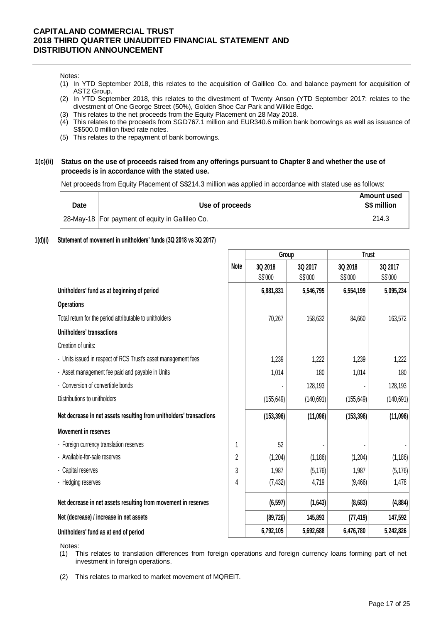#### Notes:

- (1) In YTD September 2018, this relates to the acquisition of Gallileo Co. and balance payment for acquisition of AST2 Group.
- (2) In YTD September 2018, this relates to the divestment of Twenty Anson (YTD September 2017: relates to the divestment of One George Street (50%), Golden Shoe Car Park and Wilkie Edge.
- (3) This relates to the net proceeds from the Equity Placement on 28 May 2018.
- (4) This relates to the proceeds from SGD767.1 million and EUR340.6 million bank borrowings as well as issuance of S\$500.0 million fixed rate notes.
- (5) This relates to the repayment of bank borrowings.

### **1(c)(ii) Status on the use of proceeds raised from any offerings pursuant to Chapter 8 and whether the use of proceeds is in accordance with the stated use.**

Net proceeds from Equity Placement of S\$214.3 million was applied in accordance with stated use as follows:

| Date | Use of proceeds                                   | Amount used<br><b>S\$ million</b> |
|------|---------------------------------------------------|-----------------------------------|
|      | 28-May-18   For payment of equity in Gallileo Co. | 214.3                             |

### **1(d)(i) Statement of movement in unitholders' funds (3Q 2018 vs 3Q 2017)**

|                                                                     |                | Group              |                    | <b>Trust</b>       |                    |  |
|---------------------------------------------------------------------|----------------|--------------------|--------------------|--------------------|--------------------|--|
|                                                                     | <b>Note</b>    | 3Q 2018<br>S\$'000 | 3Q 2017<br>S\$'000 | 3Q 2018<br>S\$'000 | 3Q 2017<br>S\$'000 |  |
| Unitholders' fund as at beginning of period                         |                | 6,881,831          | 5,546,795          | 6,554,199          | 5,095,234          |  |
| <b>Operations</b>                                                   |                |                    |                    |                    |                    |  |
| Total return for the period attributable to unitholders             |                | 70,267             | 158,632            | 84,660             | 163,572            |  |
| Unitholders' transactions                                           |                |                    |                    |                    |                    |  |
| Creation of units:                                                  |                |                    |                    |                    |                    |  |
| - Units issued in respect of RCS Trust's asset management fees      |                | 1,239              | 1,222              | 1,239              | 1,222              |  |
| - Asset management fee paid and payable in Units                    |                | 1,014              | 180                | 1,014              | 180                |  |
| - Conversion of convertible bonds                                   |                |                    | 128,193            |                    | 128,193            |  |
| Distributions to unitholders                                        |                | (155, 649)         | (140, 691)         | (155, 649)         | (140, 691)         |  |
| Net decrease in net assets resulting from unitholders' transactions |                | (153, 396)         | (11,096)           | (153, 396)         | (11,096)           |  |
| <b>Movement in reserves</b>                                         |                |                    |                    |                    |                    |  |
| - Foreign currency translation reserves                             |                | 52                 |                    |                    |                    |  |
| - Available-for-sale reserves                                       | $\overline{2}$ | (1, 204)           | (1, 186)           | (1, 204)           | (1, 186)           |  |
| - Capital reserves                                                  | 3              | 1,987              | (5, 176)           | 1,987              | (5, 176)           |  |
| - Hedging reserves                                                  | 4              | (7, 432)           | 4,719              | (9,466)            | 1,478              |  |
| Net decrease in net assets resulting from movement in reserves      |                | (6, 597)           | (1,643)            | (8,683)            | (4,884)            |  |
| Net (decrease) / increase in net assets                             |                | (89, 726)          | 145,893            | (77, 419)          | 147,592            |  |
| Unitholders' fund as at end of period                               |                | 6,792,105          | 5,692,688          | 6,476,780          | 5,242,826          |  |

Notes:

(1) This relates to translation differences from foreign operations and foreign currency loans forming part of net investment in foreign operations.

(2) This relates to marked to market movement of MQREIT.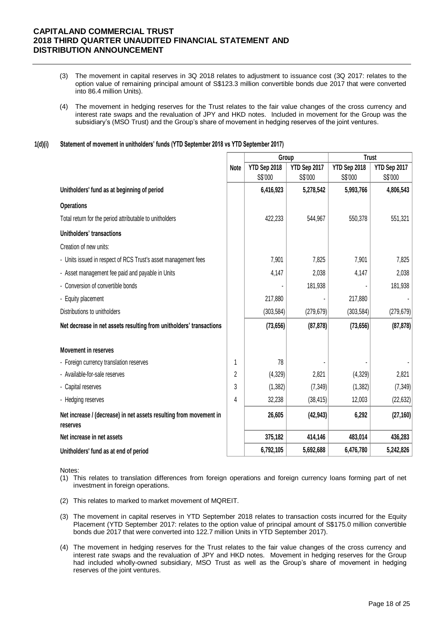- (3) The movement in capital reserves in 3Q 2018 relates to adjustment to issuance cost (3Q 2017: relates to the option value of remaining principal amount of S\$123.3 million convertible bonds due 2017 that were converted into 86.4 million Units).
- (4) The movement in hedging reserves for the Trust relates to the fair value changes of the cross currency and interest rate swaps and the revaluation of JPY and HKD notes. Included in movement for the Group was the subsidiary's (MSO Trust) and the Group's share of movement in hedging reserves of the joint ventures.

### **1(d)(i) Statement of movement in unitholders' funds (YTD September 2018 vs YTD September 2017)**

|                                                                                |                | Group        |              | <b>Trust</b> |              |  |
|--------------------------------------------------------------------------------|----------------|--------------|--------------|--------------|--------------|--|
|                                                                                | Note           | YTD Sep 2018 | YTD Sep 2017 | YTD Sep 2018 | YTD Sep 2017 |  |
|                                                                                |                | S\$'000      | S\$'000      | S\$'000      | S\$'000      |  |
| Unitholders' fund as at beginning of period                                    |                | 6,416,923    | 5,278,542    | 5,993,766    | 4,806,543    |  |
| <b>Operations</b>                                                              |                |              |              |              |              |  |
| Total return for the period attributable to unitholders                        |                | 422,233      | 544,967      | 550,378      | 551,321      |  |
| Unitholders' transactions                                                      |                |              |              |              |              |  |
| Creation of new units:                                                         |                |              |              |              |              |  |
| - Units issued in respect of RCS Trust's asset management fees                 |                | 7,901        | 7,825        | 7,901        | 7,825        |  |
| - Asset management fee paid and payable in Units                               |                | 4,147        | 2,038        | 4,147        | 2,038        |  |
| - Conversion of convertible bonds                                              |                |              | 181,938      |              | 181,938      |  |
| - Equity placement                                                             |                | 217,880      |              | 217,880      |              |  |
| Distributions to unitholders                                                   |                | (303, 584)   | (279, 679)   | (303, 584)   | (279, 679)   |  |
| Net decrease in net assets resulting from unitholders' transactions            |                | (73, 656)    | (87, 878)    | (73, 656)    | (87, 878)    |  |
| <b>Movement in reserves</b>                                                    |                |              |              |              |              |  |
| - Foreign currency translation reserves                                        | 1              | 78           |              |              |              |  |
| - Available-for-sale reserves                                                  | $\overline{2}$ | (4,329)      | 2,821        | (4, 329)     | 2,821        |  |
| - Capital reserves                                                             | 3              | (1, 382)     | (7, 349)     | (1, 382)     | (7, 349)     |  |
| - Hedging reserves                                                             | 4              | 32,238       | (38, 415)    | 12,003       | (22, 632)    |  |
| Net increase / (decrease) in net assets resulting from movement in<br>reserves |                | 26,605       | (42, 943)    | 6,292        | (27, 160)    |  |
| Net increase in net assets                                                     |                | 375,182      | 414,146      | 483,014      | 436,283      |  |
| Unitholders' fund as at end of period                                          |                | 6,792,105    | 5,692,688    | 6,476,780    | 5,242,826    |  |

Notes:

- (1) This relates to translation differences from foreign operations and foreign currency loans forming part of net investment in foreign operations.
- (2) This relates to marked to market movement of MQREIT.
- (3) The movement in capital reserves in YTD September 2018 relates to transaction costs incurred for the Equity Placement (YTD September 2017: relates to the option value of principal amount of S\$175.0 million convertible bonds due 2017 that were converted into 122.7 million Units in YTD September 2017).
- (4) The movement in hedging reserves for the Trust relates to the fair value changes of the cross currency and interest rate swaps and the revaluation of JPY and HKD notes. Movement in hedging reserves for the Group had included wholly-owned subsidiary, MSO Trust as well as the Group's share of movement in hedging reserves of the joint ventures.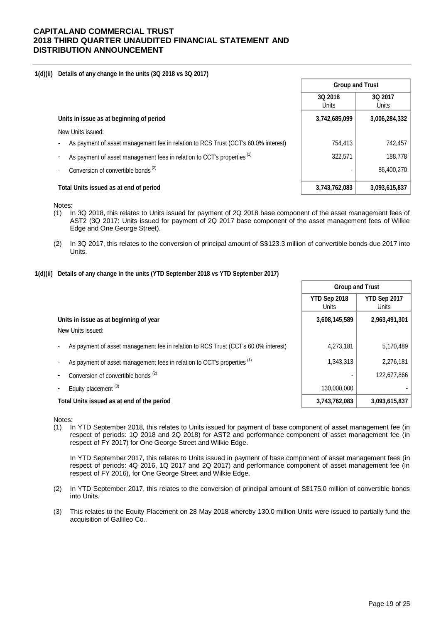#### **1(d)(ii) Details of any change in the units (3Q 2018 vs 3Q 2017)**

|                                                                                    | <b>Group and Trust</b>  |                         |
|------------------------------------------------------------------------------------|-------------------------|-------------------------|
|                                                                                    | 3Q 2018<br><b>Units</b> | 3Q 2017<br><b>Units</b> |
| Units in issue as at beginning of period                                           | 3,742,685,099           | 3,006,284,332           |
| New Units issued:                                                                  |                         |                         |
| As payment of asset management fee in relation to RCS Trust (CCT's 60.0% interest) | 754,413                 | 742,457                 |
| As payment of asset management fees in relation to CCT's properties (1)            | 322.571                 | 188,778                 |
| Conversion of convertible bonds <sup>(2)</sup>                                     |                         | 86,400,270              |
| Total Units issued as at end of period                                             | 3,743,762,083           | 3,093,615,837           |

Notes:

- (1) In 3Q 2018, this relates to Units issued for payment of 2Q 2018 base component of the asset management fees of AST2 (3Q 2017: Units issued for payment of 2Q 2017 base component of the asset management fees of Wilkie Edge and One George Street).
- (2) In 3Q 2017, this relates to the conversion of principal amount of S\$123.3 million of convertible bonds due 2017 into Units.

### **1(d)(ii) Details of any change in the units (YTD September 2018 vs YTD September 2017)**

|                                                                                    | <b>Group and Trust</b>       |                       |
|------------------------------------------------------------------------------------|------------------------------|-----------------------|
|                                                                                    | YTD Sep 2018<br><b>Units</b> | YTD Sep 2017<br>Units |
| Units in issue as at beginning of year                                             | 3,608,145,589                | 2,963,491,301         |
| New Units issued:                                                                  |                              |                       |
| As payment of asset management fee in relation to RCS Trust (CCT's 60.0% interest) | 4,273,181                    | 5,170,489             |
| As payment of asset management fees in relation to CCT's properties <sup>(1)</sup> | 1,343,313                    | 2,276,181             |
| Conversion of convertible bonds <sup>(2)</sup>                                     |                              | 122,677,866           |
| Equity placement <sup>(3)</sup>                                                    | 130,000,000                  |                       |
| Total Units issued as at end of the period                                         | 3,743,762,083                | 3,093,615,837         |

Notes:

(1) In YTD September 2018, this relates to Units issued for payment of base component of asset management fee (in respect of periods: 1Q 2018 and 2Q 2018) for AST2 and performance component of asset management fee (in respect of FY 2017) for One George Street and Wilkie Edge.

In YTD September 2017, this relates to Units issued in payment of base component of asset management fees (in respect of periods: 4Q 2016, 1Q 2017 and 2Q 2017) and performance component of asset management fee (in respect of FY 2016), for One George Street and Wilkie Edge.

- (2) In YTD September 2017, this relates to the conversion of principal amount of S\$175.0 million of convertible bonds into Units.
- (3) This relates to the Equity Placement on 28 May 2018 whereby 130.0 million Units were issued to partially fund the acquisition of Gallileo Co..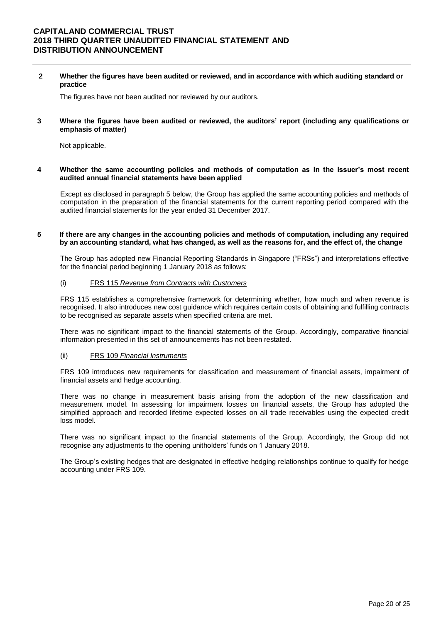**2 Whether the figures have been audited or reviewed, and in accordance with which auditing standard or practice**

The figures have not been audited nor reviewed by our auditors.

**3 Where the figures have been audited or reviewed, the auditors' report (including any qualifications or emphasis of matter)**

Not applicable.

**4 Whether the same accounting policies and methods of computation as in the issuer's most recent audited annual financial statements have been applied**

Except as disclosed in paragraph 5 below, the Group has applied the same accounting policies and methods of computation in the preparation of the financial statements for the current reporting period compared with the audited financial statements for the year ended 31 December 2017.

#### **5 If there are any changes in the accounting policies and methods of computation, including any required by an accounting standard, what has changed, as well as the reasons for, and the effect of, the change**

The Group has adopted new Financial Reporting Standards in Singapore ("FRSs") and interpretations effective for the financial period beginning 1 January 2018 as follows:

### (i) FRS 115 *Revenue from Contracts with Customers*

FRS 115 establishes a comprehensive framework for determining whether, how much and when revenue is recognised. It also introduces new cost guidance which requires certain costs of obtaining and fulfilling contracts to be recognised as separate assets when specified criteria are met.

There was no significant impact to the financial statements of the Group. Accordingly, comparative financial information presented in this set of announcements has not been restated.

#### (ii) FRS 109 *Financial Instruments*

FRS 109 introduces new requirements for classification and measurement of financial assets, impairment of financial assets and hedge accounting.

There was no change in measurement basis arising from the adoption of the new classification and measurement model. In assessing for impairment losses on financial assets, the Group has adopted the simplified approach and recorded lifetime expected losses on all trade receivables using the expected credit loss model.

There was no significant impact to the financial statements of the Group. Accordingly, the Group did not recognise any adjustments to the opening unitholders' funds on 1 January 2018.

The Group's existing hedges that are designated in effective hedging relationships continue to qualify for hedge accounting under FRS 109.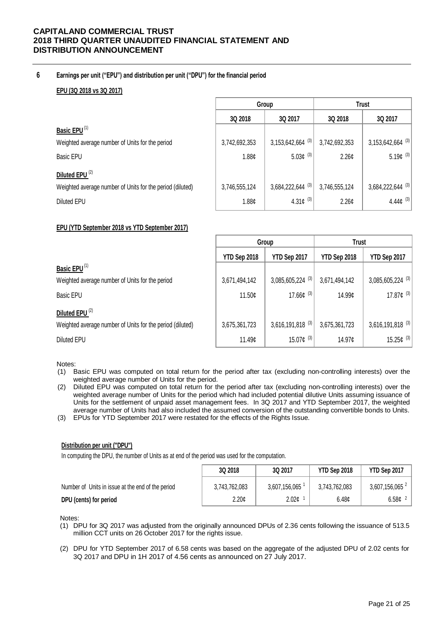### **6 Earnings per unit ("EPU") and distribution per unit ("DPU") for the financial period**

### **EPU (3Q 2018 vs 3Q 2017)**

|                                                           |                    | Group                          | <b>Trust</b>  |                                |  |
|-----------------------------------------------------------|--------------------|--------------------------------|---------------|--------------------------------|--|
|                                                           | 3Q 2018<br>3Q 2017 |                                | 3Q 2018       | 3Q 2017                        |  |
| Basic EPU <sup>(1)</sup>                                  |                    |                                |               |                                |  |
| Weighted average number of Units for the period           | 3,742,692,353      | $3,153,642,664$ <sup>(3)</sup> | 3,742,692,353 | $3,153,642,664$ <sup>(3)</sup> |  |
| <b>Basic EPU</b>                                          | 1.88 <sub>c</sub>  | 5.03 $\phi$ <sup>(3)</sup>     | 2.26¢         | 5.19¢ $(3)$                    |  |
| Diluted EPU <sup>(2)</sup>                                |                    |                                |               |                                |  |
| Weighted average number of Units for the period (diluted) | 3,746,555,124      | 3,684,222,644 (3)              | 3,746,555,124 | $3,684,222,644$ <sup>(3)</sup> |  |
| <b>Diluted EPU</b>                                        | 1.88¢              | 4.31 $\phi$ <sup>(3)</sup>     | 2.26¢         | 4.44 $\phi$ <sup>(3)</sup>     |  |
|                                                           |                    |                                |               |                                |  |

### **EPU (YTD September 2018 vs YTD September 2017)**

|                                                           |               | Group                               | <b>Trust</b>  |                                |
|-----------------------------------------------------------|---------------|-------------------------------------|---------------|--------------------------------|
|                                                           | YTD Sep 2018  | YTD Sep 2017                        | YTD Sep 2018  | YTD Sep 2017                   |
| Basic EPU <sup>(1)</sup>                                  |               |                                     |               |                                |
| Weighted average number of Units for the period           | 3,671,494,142 | $3,085,605,224$ <sup>(3)</sup>      | 3,671,494,142 | 3,085,605,224 (3)              |
| <b>Basic EPU</b>                                          | 11.50¢        | 17.66 $\mathfrak{c}$ <sup>(3)</sup> | 14.99¢        | 17.87 $¢$ <sup>(3)</sup>       |
| Diluted EPU <sup>(2)</sup>                                |               |                                     |               |                                |
| Weighted average number of Units for the period (diluted) | 3,675,361,723 | $3,616,191,818$ <sup>(3)</sup>      | 3,675,361,723 | $3,616,191,818$ <sup>(3)</sup> |
| Diluted EPU                                               | 11.49c        | 15.07 $\mathfrak{c}^{(3)}$          | 14.97¢        | 15.25 $¢$ <sup>(3)</sup>       |

#### Notes:

- (1) Basic EPU was computed on total return for the period after tax (excluding non-controlling interests) over the weighted average number of Units for the period.
- (2) Diluted EPU was computed on total return for the period after tax (excluding non-controlling interests) over the weighted average number of Units for the period which had included potential dilutive Units assuming issuance of Units for the settlement of unpaid asset management fees. In 3Q 2017 and YTD September 2017, the weighted average number of Units had also included the assumed conversion of the outstanding convertible bonds to Units.
- (3) EPUs for YTD September 2017 were restated for the effects of the Rights Issue.

### **Distribution per unit ("DPU")**

In computing the DPU, the number of Units as at end of the period was used for the computation.

|                                                   | 3Q 2018           | 3Q 2017           | YTD Sep 2018      | YTD Sep 2017                 |
|---------------------------------------------------|-------------------|-------------------|-------------------|------------------------------|
| Number of Units in issue at the end of the period | 3,743,762,083     | 3,607,156,065     | 3.743.762.083     | $3,607,156,065$ <sup>2</sup> |
| DPU (cents) for period                            | 2.20 <sub>c</sub> | 2.02 <sub>c</sub> | 6.48 <sub>c</sub> | 6.58 $\mathfrak{c}$ $^2$     |

Notes:

- (1) DPU for 3Q 2017 was adjusted from the originally announced DPUs of 2.36 cents following the issuance of 513.5 million CCT units on 26 October 2017 for the rights issue.
- (2) DPU for YTD September 2017 of 6.58 cents was based on the aggregate of the adjusted DPU of 2.02 cents for 3Q 2017 and DPU in 1H 2017 of 4.56 cents as announced on 27 July 2017.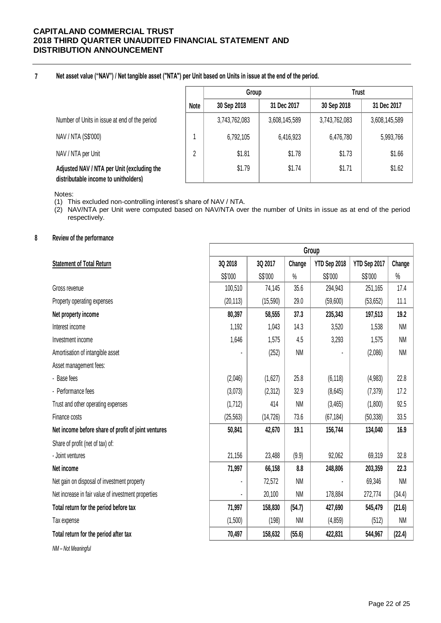**7 Net asset value ("NAV") / Net tangible asset ("NTA") per Unit based on Units in issue at the end of the period.**

|                                                                                    |        | Group         |               | <b>Trust</b>  |               |  |
|------------------------------------------------------------------------------------|--------|---------------|---------------|---------------|---------------|--|
|                                                                                    | Note   | 30 Sep 2018   | 31 Dec 2017   | 30 Sep 2018   | 31 Dec 2017   |  |
| Number of Units in issue at end of the period                                      |        | 3,743,762,083 | 3,608,145,589 | 3,743,762,083 | 3,608,145,589 |  |
| NAV / NTA (S\$'000)                                                                |        | 6,792,105     | 6,416,923     | 6,476,780     | 5,993,766     |  |
| NAV / NTA per Unit                                                                 | ŋ<br>z | \$1.81        | \$1.78        | \$1.73        | \$1.66        |  |
| Adjusted NAV / NTA per Unit (excluding the<br>distributable income to unitholders) |        | \$1.79        | \$1.74        | \$1.71        | \$1.62        |  |

Notes:

(1) This excluded non-controlling interest's share of NAV / NTA.

(2) NAV/NTA per Unit were computed based on NAV/NTA over the number of Units in issue as at end of the period respectively.

## **8 Review of the performance**

|                                                     | Group     |           |           |              |              |           |
|-----------------------------------------------------|-----------|-----------|-----------|--------------|--------------|-----------|
| <b>Statement of Total Return</b>                    | 3Q 2018   | 3Q 2017   | Change    | YTD Sep 2018 | YTD Sep 2017 | Change    |
|                                                     | S\$'000   | S\$'000   | $\%$      | S\$'000      | S\$'000      | $\%$      |
| Gross revenue                                       | 100,510   | 74,145    | 35.6      | 294,943      | 251,165      | 17.4      |
| Property operating expenses                         | (20, 113) | (15, 590) | 29.0      | (59,600)     | (53, 652)    | 11.1      |
| Net property income                                 | 80,397    | 58,555    | 37.3      | 235,343      | 197,513      | 19.2      |
| Interest income                                     | 1,192     | 1,043     | 14.3      | 3,520        | 1,538        | <b>NM</b> |
| Investment income                                   | 1,646     | 1,575     | 4.5       | 3,293        | 1,575        | <b>NM</b> |
| Amortisation of intangible asset                    |           | (252)     | <b>NM</b> |              | (2,086)      | <b>NM</b> |
| Asset management fees:                              |           |           |           |              |              |           |
| - Base fees                                         | (2,046)   | (1,627)   | 25.8      | (6, 118)     | (4,983)      | 22.8      |
| - Performance fees                                  | (3,073)   | (2,312)   | 32.9      | (8,645)      | (7, 379)     | 17.2      |
| Trust and other operating expenses                  | (1, 712)  | 414       | <b>NM</b> | (3, 465)     | (1,800)      | 92.5      |
| Finance costs                                       | (25, 563) | (14, 726) | 73.6      | (67, 184)    | (50, 338)    | 33.5      |
| Net income before share of profit of joint ventures | 50,841    | 42,670    | 19.1      | 156,744      | 134,040      | 16.9      |
| Share of profit (net of tax) of:                    |           |           |           |              |              |           |
| - Joint ventures                                    | 21,156    | 23,488    | (9.9)     | 92,062       | 69,319       | 32.8      |
| Net income                                          | 71,997    | 66,158    | 8.8       | 248,806      | 203,359      | 22.3      |
| Net gain on disposal of investment property         |           | 72,572    | <b>NM</b> |              | 69,346       | <b>NM</b> |
| Net increase in fair value of investment properties |           | 20,100    | <b>NM</b> | 178,884      | 272,774      | (34.4)    |
| Total return for the period before tax              | 71,997    | 158,830   | (54.7)    | 427,690      | 545,479      | (21.6)    |
| Tax expense                                         | (1,500)   | (198)     | <b>NM</b> | (4, 859)     | (512)        | <b>NM</b> |
| Total return for the period after tax               | 70,497    | 158,632   | (55.6)    | 422,831      | 544,967      | (22.4)    |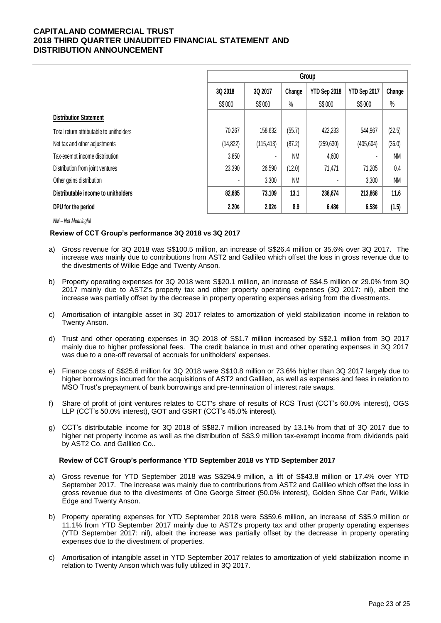|                                          | Group                                                        |            |           |            |            |           |
|------------------------------------------|--------------------------------------------------------------|------------|-----------|------------|------------|-----------|
|                                          | 3Q 2018<br>YTD Sep 2018<br>YTD Sep 2017<br>3Q 2017<br>Change |            |           |            | Change     |           |
|                                          | S\$'000                                                      | S\$'000    | $\%$      | S\$'000    | S\$'000    | $\%$      |
| <b>Distribution Statement</b>            |                                                              |            |           |            |            |           |
| Total return attributable to unitholders | 70,267                                                       | 158,632    | (55.7)    | 422,233    | 544,967    | (22.5)    |
| Net tax and other adjustments            | (14, 822)                                                    | (115, 413) | (87.2)    | (259, 630) | (405, 604) | (36.0)    |
| Tax-exempt income distribution           | 3,850                                                        | ۰          | <b>NM</b> | 4,600      |            | <b>NM</b> |
| Distribution from joint ventures         | 23,390                                                       | 26,590     | (12.0)    | 71,471     | 71,205     | 0.4       |
| Other gains distribution                 |                                                              | 3,300      | <b>NM</b> | ۰          | 3,300      | <b>NM</b> |
| Distributable income to unitholders      | 82,685                                                       | 73,109     | 13.1      | 238,674    | 213,868    | 11.6      |
| DPU for the period                       | 2.20c                                                        | 2.02c      | 8.9       | 6.48c      | 6.58c      | (1.5)     |

*NM – Not Meaningful*

### **Review of CCT Group's performance 3Q 2018 vs 3Q 2017**

- a) Gross revenue for 3Q 2018 was S\$100.5 million, an increase of S\$26.4 million or 35.6% over 3Q 2017. The increase was mainly due to contributions from AST2 and Gallileo which offset the loss in gross revenue due to the divestments of Wilkie Edge and Twenty Anson.
- b) Property operating expenses for 3Q 2018 were S\$20.1 million, an increase of S\$4.5 million or 29.0% from 3Q 2017 mainly due to AST2's property tax and other property operating expenses (3Q 2017: nil), albeit the increase was partially offset by the decrease in property operating expenses arising from the divestments.
- c) Amortisation of intangible asset in 3Q 2017 relates to amortization of yield stabilization income in relation to Twenty Anson.
- d) Trust and other operating expenses in 3Q 2018 of S\$1.7 million increased by S\$2.1 million from 3Q 2017 mainly due to higher professional fees. The credit balance in trust and other operating expenses in 3Q 2017 was due to a one-off reversal of accruals for unitholders' expenses.
- e) Finance costs of S\$25.6 million for 3Q 2018 were S\$10.8 million or 73.6% higher than 3Q 2017 largely due to higher borrowings incurred for the acquisitions of AST2 and Gallileo, as well as expenses and fees in relation to MSO Trust's prepayment of bank borrowings and pre-termination of interest rate swaps.
- f) Share of profit of joint ventures relates to CCT's share of results of RCS Trust (CCT's 60.0% interest), OGS LLP (CCT's 50.0% interest), GOT and GSRT (CCT's 45.0% interest).
- g) CCT's distributable income for 3Q 2018 of S\$82.7 million increased by 13.1% from that of 3Q 2017 due to higher net property income as well as the distribution of S\$3.9 million tax-exempt income from dividends paid by AST2 Co. and Gallileo Co..

### **Review of CCT Group's performance YTD September 2018 vs YTD September 2017**

- a) Gross revenue for YTD September 2018 was S\$294.9 million, a lift of S\$43.8 million or 17.4% over YTD September 2017. The increase was mainly due to contributions from AST2 and Gallileo which offset the loss in gross revenue due to the divestments of One George Street (50.0% interest), Golden Shoe Car Park, Wilkie Edge and Twenty Anson.
- b) Property operating expenses for YTD September 2018 were S\$59.6 million, an increase of S\$5.9 million or 11.1% from YTD September 2017 mainly due to AST2's property tax and other property operating expenses (YTD September 2017: nil), albeit the increase was partially offset by the decrease in property operating expenses due to the divestment of properties.
- c) Amortisation of intangible asset in YTD September 2017 relates to amortization of yield stabilization income in relation to Twenty Anson which was fully utilized in 3Q 2017.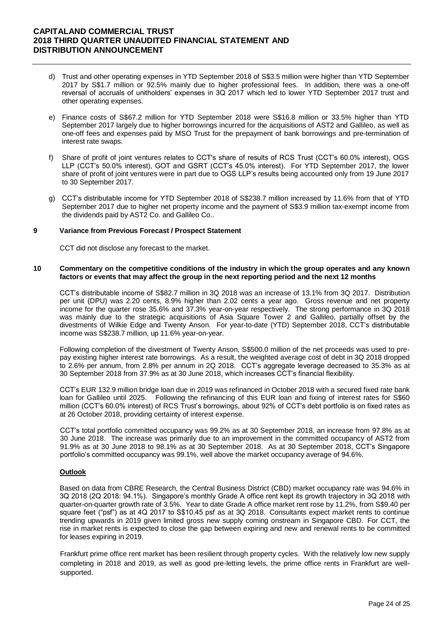- d) Trust and other operating expenses in YTD September 2018 of S\$3.5 million were higher than YTD September 2017 by S\$1.7 million or 92.5% mainly due to higher professional fees. In addition, there was a one-off reversal of accruals of unitholders' expenses in 3Q 2017 which led to lower YTD September 2017 trust and other operating expenses.
- e) Finance costs of S\$67.2 million for YTD September 2018 were S\$16.8 million or 33.5% higher than YTD September 2017 largely due to higher borrowings incurred for the acquisitions of AST2 and Gallileo, as well as one-off fees and expenses paid by MSO Trust for the prepayment of bank borrowings and pre-termination of interest rate swaps.
- f) Share of profit of joint ventures relates to CCT's share of results of RCS Trust (CCT's 60.0% interest), OGS LLP (CCT's 50.0% interest), GOT and GSRT (CCT's 45.0% interest). For YTD September 2017, the lower share of profit of joint ventures were in part due to OGS LLP's results being accounted only from 19 June 2017 to 30 September 2017.
- g) CCT's distributable income for YTD September 2018 of S\$238.7 million increased by 11.6% from that of YTD September 2017 due to higher net property income and the payment of S\$3.9 million tax-exempt income from the dividends paid by AST2 Co. and Gallileo Co..

### **9 Variance from Previous Forecast / Prospect Statement**

CCT did not disclose any forecast to the market.

### **10 Commentary on the competitive conditions of the industry in which the group operates and any known factors or events that may affect the group in the next reporting period and the next 12 months**

CCT's distributable income of S\$82.7 million in 3Q 2018 was an increase of 13.1% from 3Q 2017. Distribution per unit (DPU) was 2.20 cents, 8.9% higher than 2.02 cents a year ago. Gross revenue and net property income for the quarter rose 35.6% and 37.3% year-on-year respectively. The strong performance in 3Q 2018 was mainly due to the strategic acquisitions of Asia Square Tower 2 and Gallileo, partially offset by the divestments of Wilkie Edge and Twenty Anson. For year-to-date (YTD) September 2018, CCT's distributable income was S\$238.7 million, up 11.6% year-on-year.

Following completion of the divestment of Twenty Anson, S\$500.0 million of the net proceeds was used to prepay existing higher interest rate borrowings. As a result, the weighted average cost of debt in 3Q 2018 dropped to 2.6% per annum, from 2.8% per annum in 2Q 2018. CCT's aggregate leverage decreased to 35.3% as at 30 September 2018 from 37.9% as at 30 June 2018, which increases CCT's financial flexibility.

CCT's EUR 132.9 million bridge loan due in 2019 was refinanced in October 2018 with a secured fixed rate bank loan for Gallileo until 2025. Following the refinancing of this EUR loan and fixing of interest rates for S\$60 million (CCT's 60.0% interest) of RCS Trust's borrowings, about 92% of CCT's debt portfolio is on fixed rates as at 26 October 2018, providing certainty of interest expense.

CCT's total portfolio committed occupancy was 99.2% as at 30 September 2018, an increase from 97.8% as at 30 June 2018. The increase was primarily due to an improvement in the committed occupancy of AST2 from 91.9% as at 30 June 2018 to 98.1% as at 30 September 2018. As at 30 September 2018, CCT's Singapore portfolio's committed occupancy was 99.1%, well above the market occupancy average of 94.6%.

### **Outlook**

Based on data from CBRE Research, the Central Business District (CBD) market occupancy rate was 94.6% in 3Q 2018 (2Q 2018: 94.1%). Singapore's monthly Grade A office rent kept its growth trajectory in 3Q 2018 with quarter-on-quarter growth rate of 3.5%. Year to date Grade A office market rent rose by 11.2%, from S\$9.40 per square feet ("psf") as at 4Q 2017 to S\$10.45 psf as at 3Q 2018. Consultants expect market rents to continue trending upwards in 2019 given limited gross new supply coming onstream in Singapore CBD. For CCT, the rise in market rents is expected to close the gap between expiring and new and renewal rents to be committed for leases expiring in 2019.

Frankfurt prime office rent market has been resilient through property cycles. With the relatively low new supply completing in 2018 and 2019, as well as good pre-letting levels, the prime office rents in Frankfurt are wellsupported.